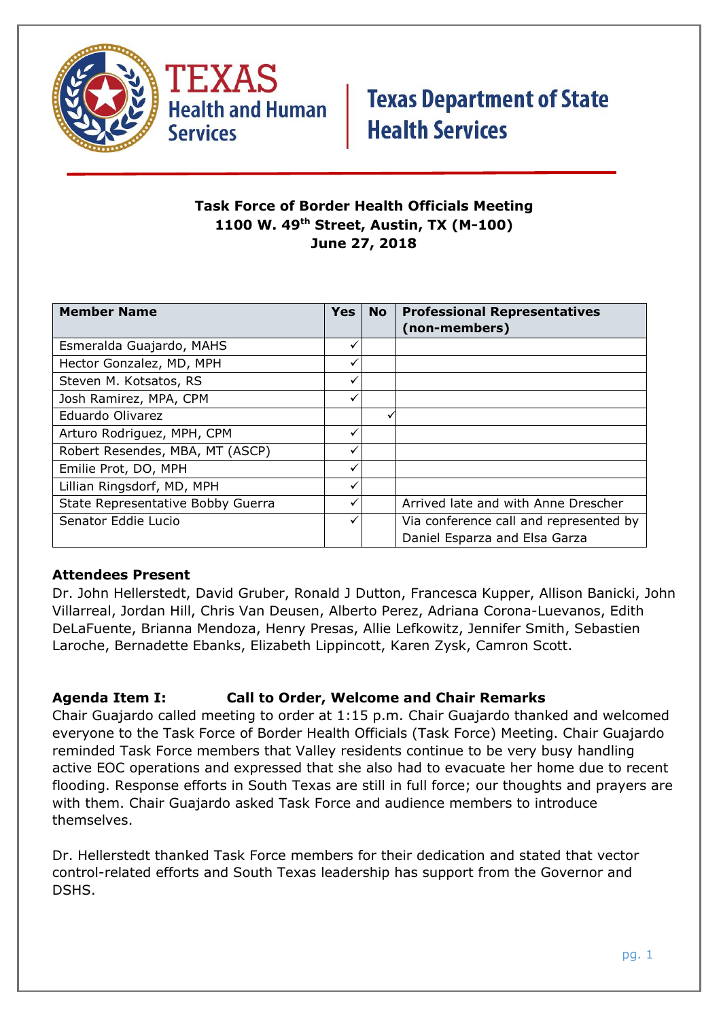



### **Task Force of Border Health Officials Meeting 1100 W. 49th Street, Austin, TX (M-100) June 27, 2018**

| <b>Member Name</b>                | <b>Yes</b>   | <b>No</b> | <b>Professional Representatives</b>    |
|-----------------------------------|--------------|-----------|----------------------------------------|
|                                   |              |           | (non-members)                          |
| Esmeralda Guajardo, MAHS          | ✓            |           |                                        |
| Hector Gonzalez, MD, MPH          | $\checkmark$ |           |                                        |
| Steven M. Kotsatos, RS            | ✓            |           |                                        |
| Josh Ramirez, MPA, CPM            | ✓            |           |                                        |
| Eduardo Olivarez                  |              |           |                                        |
| Arturo Rodriguez, MPH, CPM        | ✓            |           |                                        |
| Robert Resendes, MBA, MT (ASCP)   | ✓            |           |                                        |
| Emilie Prot, DO, MPH              | ✓            |           |                                        |
| Lillian Ringsdorf, MD, MPH        | ✓            |           |                                        |
| State Representative Bobby Guerra | ✓            |           | Arrived late and with Anne Drescher    |
| Senator Eddie Lucio               | ✓            |           | Via conference call and represented by |
|                                   |              |           | Daniel Esparza and Elsa Garza          |

### **Attendees Present**

Dr. John Hellerstedt, David Gruber, Ronald J Dutton, Francesca Kupper, Allison Banicki, John Villarreal, Jordan Hill, Chris Van Deusen, Alberto Perez, Adriana Corona-Luevanos, Edith DeLaFuente, Brianna Mendoza, Henry Presas, Allie Lefkowitz, Jennifer Smith, Sebastien Laroche, Bernadette Ebanks, Elizabeth Lippincott, Karen Zysk, Camron Scott.

### **Agenda Item I: Call to Order, Welcome and Chair Remarks**

Chair Guajardo called meeting to order at 1:15 p.m. Chair Guajardo thanked and welcomed everyone to the Task Force of Border Health Officials (Task Force) Meeting. Chair Guajardo reminded Task Force members that Valley residents continue to be very busy handling active EOC operations and expressed that she also had to evacuate her home due to recent flooding. Response efforts in South Texas are still in full force; our thoughts and prayers are with them. Chair Guajardo asked Task Force and audience members to introduce themselves.

Dr. Hellerstedt thanked Task Force members for their dedication and stated that vector control-related efforts and South Texas leadership has support from the Governor and DSHS.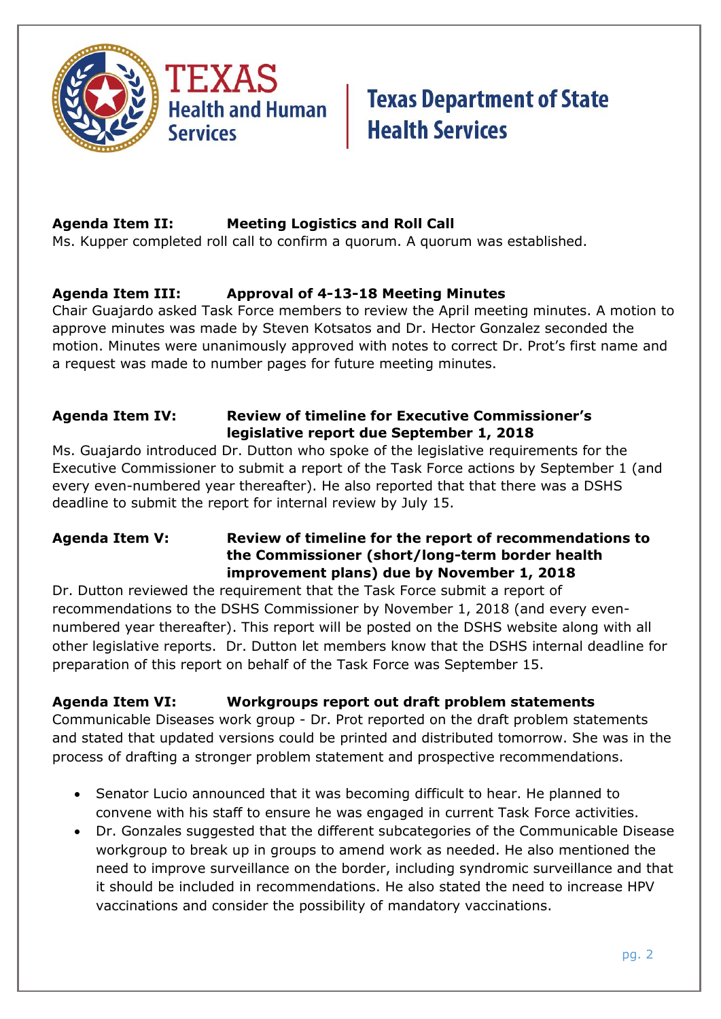

### **Agenda Item II: Meeting Logistics and Roll Call**

Ms. Kupper completed roll call to confirm a quorum. A quorum was established.

### **Agenda Item III: Approval of 4-13-18 Meeting Minutes**

Chair Guajardo asked Task Force members to review the April meeting minutes. A motion to approve minutes was made by Steven Kotsatos and Dr. Hector Gonzalez seconded the motion. Minutes were unanimously approved with notes to correct Dr. Prot's first name and a request was made to number pages for future meeting minutes.

### **Agenda Item IV: Review of timeline for Executive Commissioner's legislative report due September 1, 2018**

Ms. Guajardo introduced Dr. Dutton who spoke of the legislative requirements for the Executive Commissioner to submit a report of the Task Force actions by September 1 (and every even-numbered year thereafter). He also reported that that there was a DSHS deadline to submit the report for internal review by July 15.

### **Agenda Item V: Review of timeline for the report of recommendations to the Commissioner (short/long-term border health improvement plans) due by November 1, 2018**

Dr. Dutton reviewed the requirement that the Task Force submit a report of recommendations to the DSHS Commissioner by November 1, 2018 (and every evennumbered year thereafter). This report will be posted on the DSHS website along with all other legislative reports. Dr. Dutton let members know that the DSHS internal deadline for preparation of this report on behalf of the Task Force was September 15.

### **Agenda Item VI: Workgroups report out draft problem statements**

Communicable Diseases work group - Dr. Prot reported on the draft problem statements and stated that updated versions could be printed and distributed tomorrow. She was in the process of drafting a stronger problem statement and prospective recommendations.

- Senator Lucio announced that it was becoming difficult to hear. He planned to convene with his staff to ensure he was engaged in current Task Force activities.
- Dr. Gonzales suggested that the different subcategories of the Communicable Disease workgroup to break up in groups to amend work as needed. He also mentioned the need to improve surveillance on the border, including syndromic surveillance and that it should be included in recommendations. He also stated the need to increase HPV vaccinations and consider the possibility of mandatory vaccinations.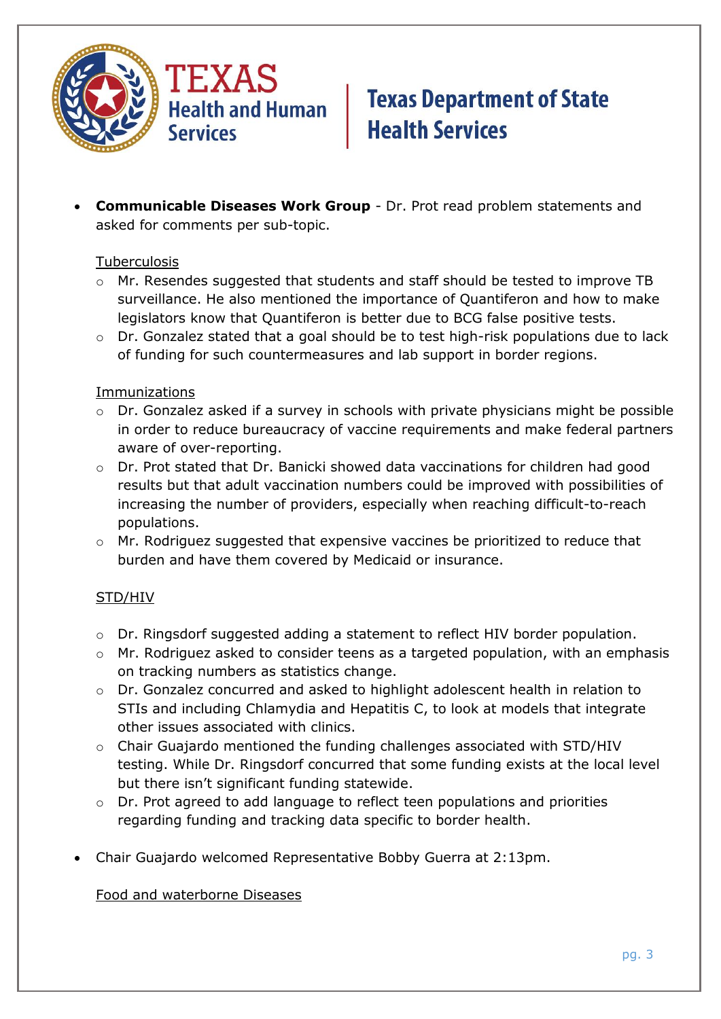

 **Communicable Diseases Work Group** - Dr. Prot read problem statements and asked for comments per sub-topic.

#### Tuberculosis

- $\circ$  Mr. Resendes suggested that students and staff should be tested to improve TB surveillance. He also mentioned the importance of Quantiferon and how to make legislators know that Quantiferon is better due to BCG false positive tests.
- o Dr. Gonzalez stated that a goal should be to test high-risk populations due to lack of funding for such countermeasures and lab support in border regions.

#### **Immunizations**

- o Dr. Gonzalez asked if a survey in schools with private physicians might be possible in order to reduce bureaucracy of vaccine requirements and make federal partners aware of over-reporting.
- o Dr. Prot stated that Dr. Banicki showed data vaccinations for children had good results but that adult vaccination numbers could be improved with possibilities of increasing the number of providers, especially when reaching difficult-to-reach populations.
- o Mr. Rodriguez suggested that expensive vaccines be prioritized to reduce that burden and have them covered by Medicaid or insurance.

### STD/HIV

- o Dr. Ringsdorf suggested adding a statement to reflect HIV border population.
- o Mr. Rodriguez asked to consider teens as a targeted population, with an emphasis on tracking numbers as statistics change.
- o Dr. Gonzalez concurred and asked to highlight adolescent health in relation to STIs and including Chlamydia and Hepatitis C, to look at models that integrate other issues associated with clinics.
- o Chair Guajardo mentioned the funding challenges associated with STD/HIV testing. While Dr. Ringsdorf concurred that some funding exists at the local level but there isn't significant funding statewide.
- o Dr. Prot agreed to add language to reflect teen populations and priorities regarding funding and tracking data specific to border health.
- Chair Guajardo welcomed Representative Bobby Guerra at 2:13pm.

Food and waterborne Diseases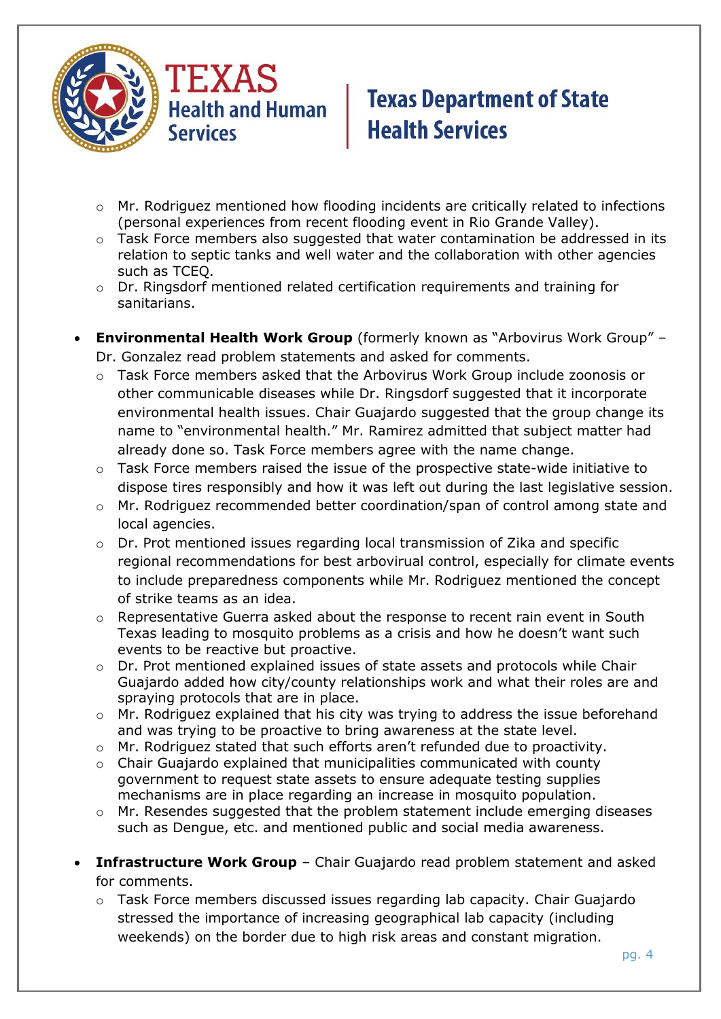

- o Mr. Rodriguez mentioned how flooding incidents are critically related to infections (personal experiences from recent flooding event in Rio Grande Valley).
- o Task Force members also suggested that water contamination be addressed in its relation to septic tanks and well water and the collaboration with other agencies such as TCEQ.
- o Dr. Ringsdorf mentioned related certification requirements and training for sanitarians.
- **Environmental Health Work Group** (formerly known as "Arbovirus Work Group" Dr. Gonzalez read problem statements and asked for comments.
	- $\circ$  Task Force members asked that the Arbovirus Work Group include zoonosis or other communicable diseases while Dr. Ringsdorf suggested that it incorporate environmental health issues. Chair Guajardo suggested that the group change its name to "environmental health." Mr. Ramirez admitted that subject matter had already done so. Task Force members agree with the name change.
	- $\circ$  Task Force members raised the issue of the prospective state-wide initiative to dispose tires responsibly and how it was left out during the last legislative session.
	- o Mr. Rodriguez recommended better coordination/span of control among state and local agencies.
	- o Dr. Prot mentioned issues regarding local transmission of Zika and specific regional recommendations for best arbovirual control, especially for climate events to include preparedness components while Mr. Rodriguez mentioned the concept of strike teams as an idea.
	- $\circ$  Representative Guerra asked about the response to recent rain event in South Texas leading to mosquito problems as a crisis and how he doesn't want such events to be reactive but proactive.
	- $\circ$  Dr. Prot mentioned explained issues of state assets and protocols while Chair Guajardo added how city/county relationships work and what their roles are and spraying protocols that are in place.
	- o Mr. Rodriguez explained that his city was trying to address the issue beforehand and was trying to be proactive to bring awareness at the state level.
	- o Mr. Rodriguez stated that such efforts aren't refunded due to proactivity.
	- o Chair Guajardo explained that municipalities communicated with county government to request state assets to ensure adequate testing supplies mechanisms are in place regarding an increase in mosquito population.
	- o Mr. Resendes suggested that the problem statement include emerging diseases such as Dengue, etc. and mentioned public and social media awareness.
- **Infrastructure Work Group** Chair Guajardo read problem statement and asked for comments.
	- $\circ$  Task Force members discussed issues regarding lab capacity. Chair Guajardo stressed the importance of increasing geographical lab capacity (including weekends) on the border due to high risk areas and constant migration.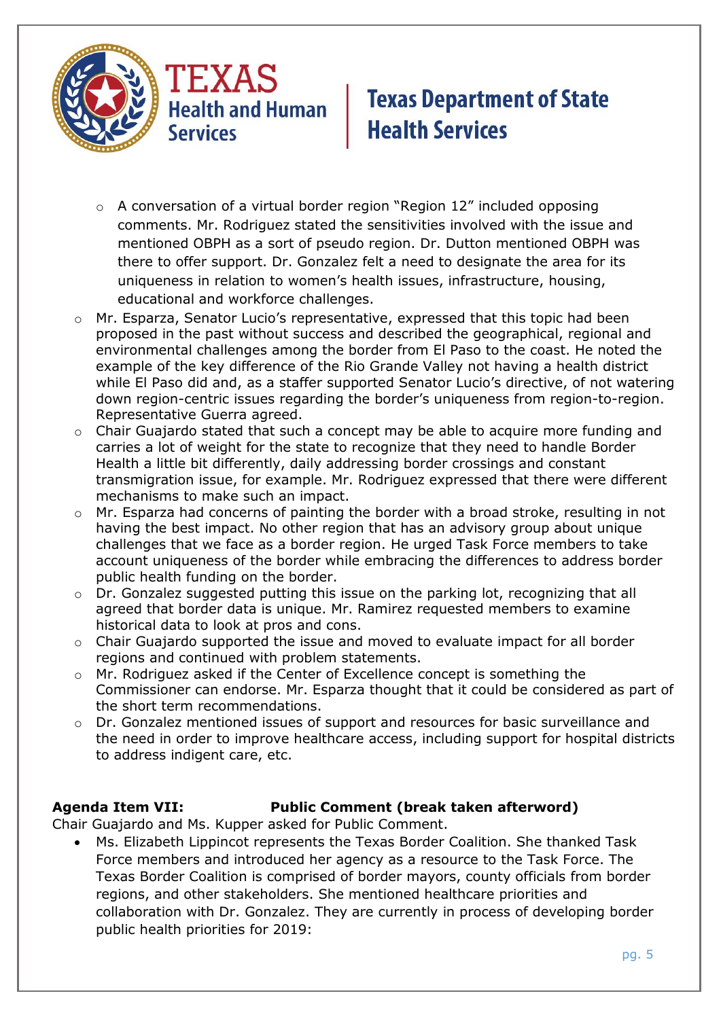

**Health and Human Services** 

# **Texas Department of State Health Services**

- o A conversation of a virtual border region "Region 12" included opposing comments. Mr. Rodriguez stated the sensitivities involved with the issue and mentioned OBPH as a sort of pseudo region. Dr. Dutton mentioned OBPH was there to offer support. Dr. Gonzalez felt a need to designate the area for its uniqueness in relation to women's health issues, infrastructure, housing, educational and workforce challenges.
- o Mr. Esparza, Senator Lucio's representative, expressed that this topic had been proposed in the past without success and described the geographical, regional and environmental challenges among the border from El Paso to the coast. He noted the example of the key difference of the Rio Grande Valley not having a health district while El Paso did and, as a staffer supported Senator Lucio's directive, of not watering down region-centric issues regarding the border's uniqueness from region-to-region. Representative Guerra agreed.
- $\circ$  Chair Guajardo stated that such a concept may be able to acquire more funding and carries a lot of weight for the state to recognize that they need to handle Border Health a little bit differently, daily addressing border crossings and constant transmigration issue, for example. Mr. Rodriguez expressed that there were different mechanisms to make such an impact.
- o Mr. Esparza had concerns of painting the border with a broad stroke, resulting in not having the best impact. No other region that has an advisory group about unique challenges that we face as a border region. He urged Task Force members to take account uniqueness of the border while embracing the differences to address border public health funding on the border.
- o Dr. Gonzalez suggested putting this issue on the parking lot, recognizing that all agreed that border data is unique. Mr. Ramirez requested members to examine historical data to look at pros and cons.
- o Chair Guajardo supported the issue and moved to evaluate impact for all border regions and continued with problem statements.
- o Mr. Rodriguez asked if the Center of Excellence concept is something the Commissioner can endorse. Mr. Esparza thought that it could be considered as part of the short term recommendations.
- $\circ$  Dr. Gonzalez mentioned issues of support and resources for basic surveillance and the need in order to improve healthcare access, including support for hospital districts to address indigent care, etc.

### **Agenda Item VII: Public Comment (break taken afterword)**

Chair Guajardo and Ms. Kupper asked for Public Comment.

 Ms. Elizabeth Lippincot represents the Texas Border Coalition. She thanked Task Force members and introduced her agency as a resource to the Task Force. The Texas Border Coalition is comprised of border mayors, county officials from border regions, and other stakeholders. She mentioned healthcare priorities and collaboration with Dr. Gonzalez. They are currently in process of developing border public health priorities for 2019: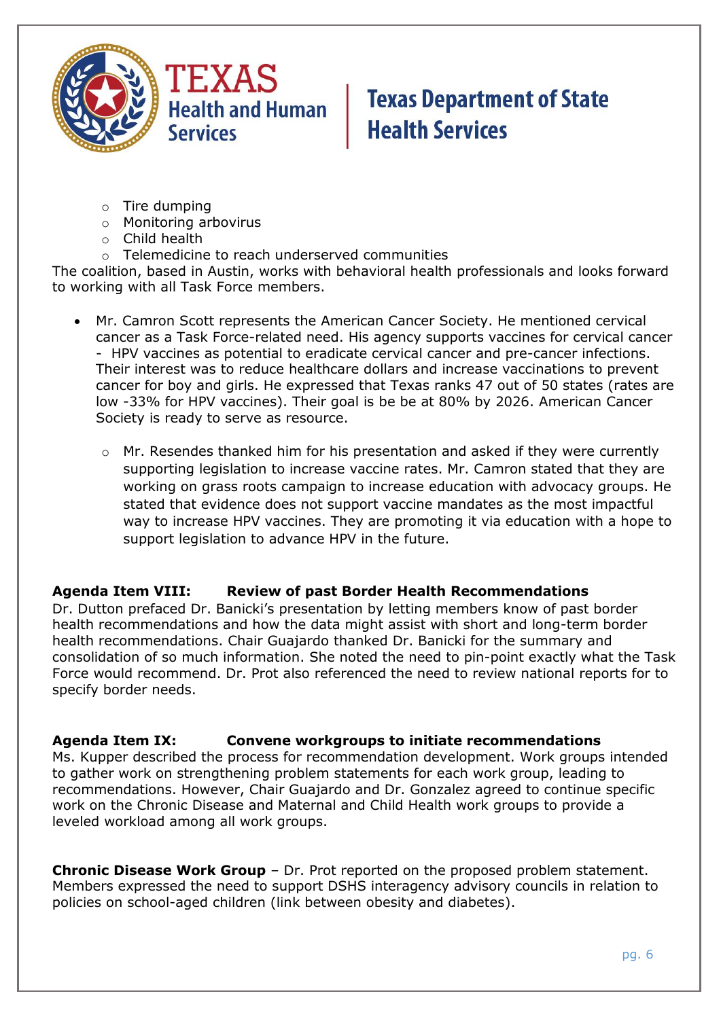

- o Tire dumping
- o Monitoring arbovirus
- o Child health
- o Telemedicine to reach underserved communities

The coalition, based in Austin, works with behavioral health professionals and looks forward to working with all Task Force members.

- Mr. Camron Scott represents the American Cancer Society. He mentioned cervical cancer as a Task Force-related need. His agency supports vaccines for cervical cancer - HPV vaccines as potential to eradicate cervical cancer and pre-cancer infections. Their interest was to reduce healthcare dollars and increase vaccinations to prevent cancer for boy and girls. He expressed that Texas ranks 47 out of 50 states (rates are low -33% for HPV vaccines). Their goal is be be at 80% by 2026. American Cancer Society is ready to serve as resource.
	- $\circ$  Mr. Resendes thanked him for his presentation and asked if they were currently supporting legislation to increase vaccine rates. Mr. Camron stated that they are working on grass roots campaign to increase education with advocacy groups. He stated that evidence does not support vaccine mandates as the most impactful way to increase HPV vaccines. They are promoting it via education with a hope to support legislation to advance HPV in the future.

#### **Agenda Item VIII: Review of past Border Health Recommendations**

Dr. Dutton prefaced Dr. Banicki's presentation by letting members know of past border health recommendations and how the data might assist with short and long-term border health recommendations. Chair Guajardo thanked Dr. Banicki for the summary and consolidation of so much information. She noted the need to pin-point exactly what the Task Force would recommend. Dr. Prot also referenced the need to review national reports for to specify border needs.

#### **Agenda Item IX: Convene workgroups to initiate recommendations**

Ms. Kupper described the process for recommendation development. Work groups intended to gather work on strengthening problem statements for each work group, leading to recommendations. However, Chair Guajardo and Dr. Gonzalez agreed to continue specific work on the Chronic Disease and Maternal and Child Health work groups to provide a leveled workload among all work groups.

**Chronic Disease Work Group** – Dr. Prot reported on the proposed problem statement. Members expressed the need to support DSHS interagency advisory councils in relation to policies on school-aged children (link between obesity and diabetes).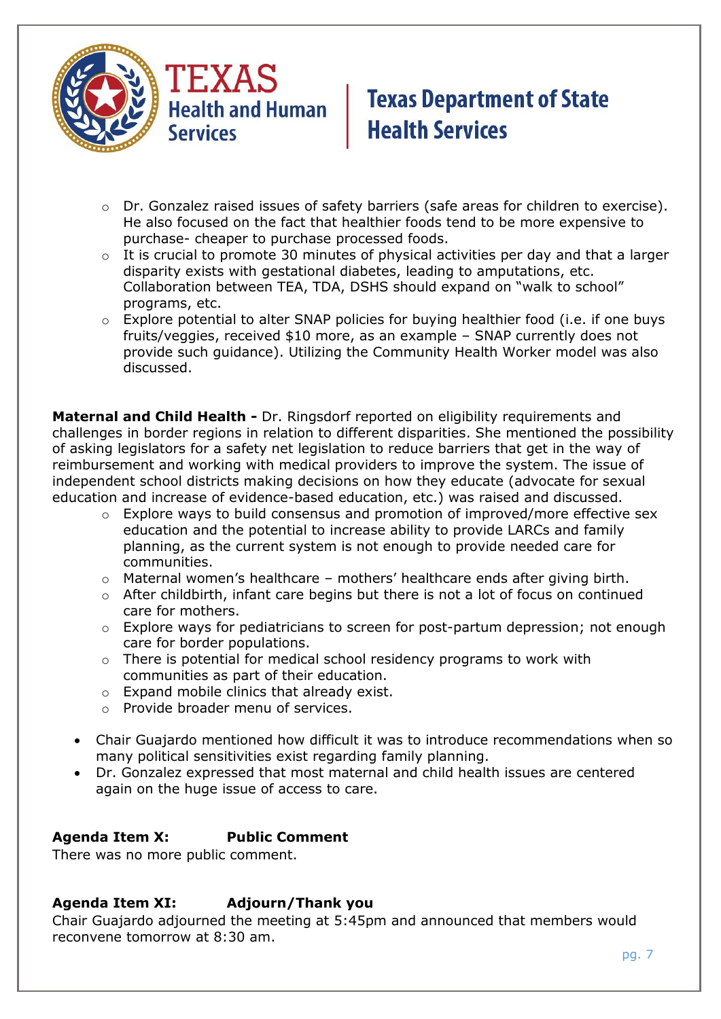

- $\circ$  Dr. Gonzalez raised issues of safety barriers (safe areas for children to exercise). He also focused on the fact that healthier foods tend to be more expensive to purchase- cheaper to purchase processed foods.
- $\circ$  It is crucial to promote 30 minutes of physical activities per day and that a larger disparity exists with gestational diabetes, leading to amputations, etc. Collaboration between TEA, TDA, DSHS should expand on "walk to school" programs, etc.
- $\circ$  Explore potential to alter SNAP policies for buying healthier food (i.e. if one buys fruits/veggies, received \$10 more, as an example – SNAP currently does not provide such guidance). Utilizing the Community Health Worker model was also discussed.

**Maternal and Child Health -** Dr. Ringsdorf reported on eligibility requirements and challenges in border regions in relation to different disparities. She mentioned the possibility of asking legislators for a safety net legislation to reduce barriers that get in the way of reimbursement and working with medical providers to improve the system. The issue of independent school districts making decisions on how they educate (advocate for sexual education and increase of evidence-based education, etc.) was raised and discussed.

- o Explore ways to build consensus and promotion of improved/more effective sex education and the potential to increase ability to provide LARCs and family planning, as the current system is not enough to provide needed care for communities.
- o Maternal women's healthcare mothers' healthcare ends after giving birth.
- $\circ$  After childbirth, infant care begins but there is not a lot of focus on continued care for mothers.
- o Explore ways for pediatricians to screen for post-partum depression; not enough care for border populations.
- $\circ$  There is potential for medical school residency programs to work with communities as part of their education.
- o Expand mobile clinics that already exist.
- o Provide broader menu of services.
- Chair Guajardo mentioned how difficult it was to introduce recommendations when so many political sensitivities exist regarding family planning.
- Dr. Gonzalez expressed that most maternal and child health issues are centered again on the huge issue of access to care.

### **Agenda Item X: Public Comment**

There was no more public comment.

### **Agenda Item XI: Adjourn/Thank you**

Chair Guajardo adjourned the meeting at 5:45pm and announced that members would reconvene tomorrow at 8:30 am.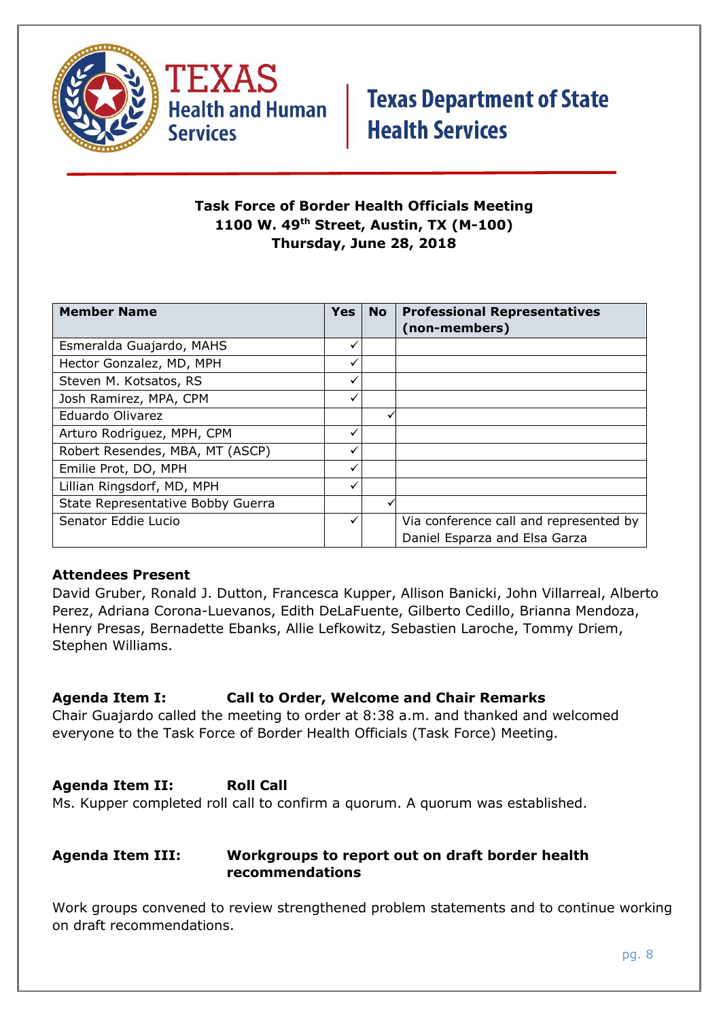



### **Task Force of Border Health Officials Meeting 1100 W. 49th Street, Austin, TX (M-100) Thursday, June 28, 2018**

| <b>Member Name</b>                | <b>Yes</b> | <b>No</b> | <b>Professional Representatives</b>    |
|-----------------------------------|------------|-----------|----------------------------------------|
|                                   |            |           | (non-members)                          |
| Esmeralda Guajardo, MAHS          |            |           |                                        |
| Hector Gonzalez, MD, MPH          | ✓          |           |                                        |
| Steven M. Kotsatos, RS            |            |           |                                        |
| Josh Ramirez, MPA, CPM            |            |           |                                        |
| Eduardo Olivarez                  |            |           |                                        |
| Arturo Rodriguez, MPH, CPM        |            |           |                                        |
| Robert Resendes, MBA, MT (ASCP)   |            |           |                                        |
| Emilie Prot, DO, MPH              |            |           |                                        |
| Lillian Ringsdorf, MD, MPH        |            |           |                                        |
| State Representative Bobby Guerra |            |           |                                        |
| Senator Eddie Lucio               |            |           | Via conference call and represented by |
|                                   |            |           | Daniel Esparza and Elsa Garza          |

### **Attendees Present**

David Gruber, Ronald J. Dutton, Francesca Kupper, Allison Banicki, John Villarreal, Alberto Perez, Adriana Corona-Luevanos, Edith DeLaFuente, Gilberto Cedillo, Brianna Mendoza, Henry Presas, Bernadette Ebanks, Allie Lefkowitz, Sebastien Laroche, Tommy Driem, Stephen Williams.

### **Agenda Item I: Call to Order, Welcome and Chair Remarks**

Chair Guajardo called the meeting to order at 8:38 a.m. and thanked and welcomed everyone to the Task Force of Border Health Officials (Task Force) Meeting.

### **Agenda Item II: Roll Call**

Ms. Kupper completed roll call to confirm a quorum. A quorum was established.

#### **Agenda Item III: Workgroups to report out on draft border health recommendations**

Work groups convened to review strengthened problem statements and to continue working on draft recommendations.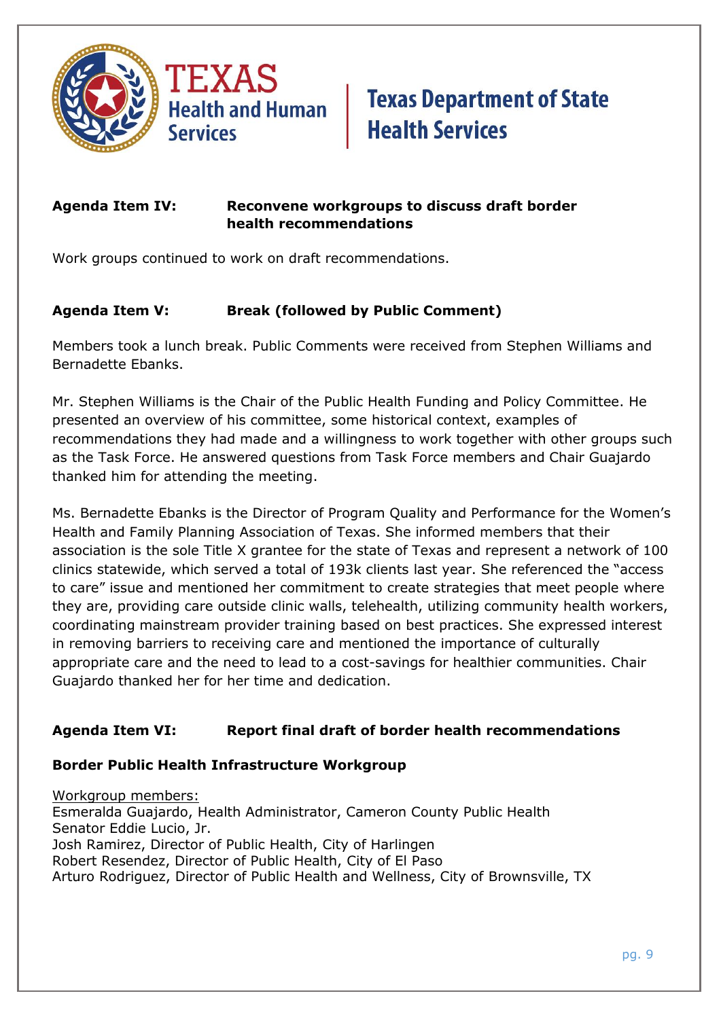

### **Agenda Item IV: Reconvene workgroups to discuss draft border health recommendations**

Work groups continued to work on draft recommendations.

### **Agenda Item V: Break (followed by Public Comment)**

Members took a lunch break. Public Comments were received from Stephen Williams and Bernadette Ebanks.

Mr. Stephen Williams is the Chair of the Public Health Funding and Policy Committee. He presented an overview of his committee, some historical context, examples of recommendations they had made and a willingness to work together with other groups such as the Task Force. He answered questions from Task Force members and Chair Guajardo thanked him for attending the meeting.

Ms. Bernadette Ebanks is the Director of Program Quality and Performance for the Women's Health and Family Planning Association of Texas. She informed members that their association is the sole Title X grantee for the state of Texas and represent a network of 100 clinics statewide, which served a total of 193k clients last year. She referenced the "access to care" issue and mentioned her commitment to create strategies that meet people where they are, providing care outside clinic walls, telehealth, utilizing community health workers, coordinating mainstream provider training based on best practices. She expressed interest in removing barriers to receiving care and mentioned the importance of culturally appropriate care and the need to lead to a cost-savings for healthier communities. Chair Guajardo thanked her for her time and dedication.

### **Agenda Item VI: Report final draft of border health recommendations**

#### **Border Public Health Infrastructure Workgroup**

Workgroup members: Esmeralda Guajardo, Health Administrator, Cameron County Public Health Senator Eddie Lucio, Jr. Josh Ramirez, Director of Public Health, City of Harlingen Robert Resendez, Director of Public Health, City of El Paso Arturo Rodriguez, Director of Public Health and Wellness, City of Brownsville, TX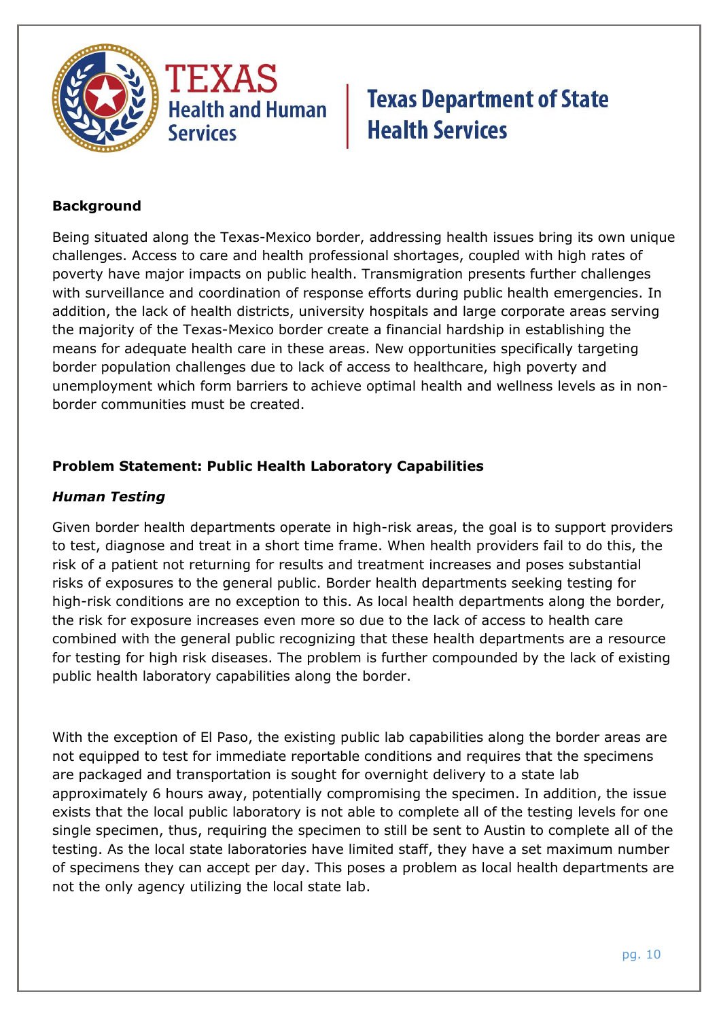



### **Background**

Being situated along the Texas-Mexico border, addressing health issues bring its own unique challenges. Access to care and health professional shortages, coupled with high rates of poverty have major impacts on public health. Transmigration presents further challenges with surveillance and coordination of response efforts during public health emergencies. In addition, the lack of health districts, university hospitals and large corporate areas serving the majority of the Texas-Mexico border create a financial hardship in establishing the means for adequate health care in these areas. New opportunities specifically targeting border population challenges due to lack of access to healthcare, high poverty and unemployment which form barriers to achieve optimal health and wellness levels as in nonborder communities must be created.

### **Problem Statement: Public Health Laboratory Capabilities**

### *Human Testing*

Given border health departments operate in high-risk areas, the goal is to support providers to test, diagnose and treat in a short time frame. When health providers fail to do this, the risk of a patient not returning for results and treatment increases and poses substantial risks of exposures to the general public. Border health departments seeking testing for high-risk conditions are no exception to this. As local health departments along the border, the risk for exposure increases even more so due to the lack of access to health care combined with the general public recognizing that these health departments are a resource for testing for high risk diseases. The problem is further compounded by the lack of existing public health laboratory capabilities along the border.

With the exception of El Paso, the existing public lab capabilities along the border areas are not equipped to test for immediate reportable conditions and requires that the specimens are packaged and transportation is sought for overnight delivery to a state lab approximately 6 hours away, potentially compromising the specimen. In addition, the issue exists that the local public laboratory is not able to complete all of the testing levels for one single specimen, thus, requiring the specimen to still be sent to Austin to complete all of the testing. As the local state laboratories have limited staff, they have a set maximum number of specimens they can accept per day. This poses a problem as local health departments are not the only agency utilizing the local state lab.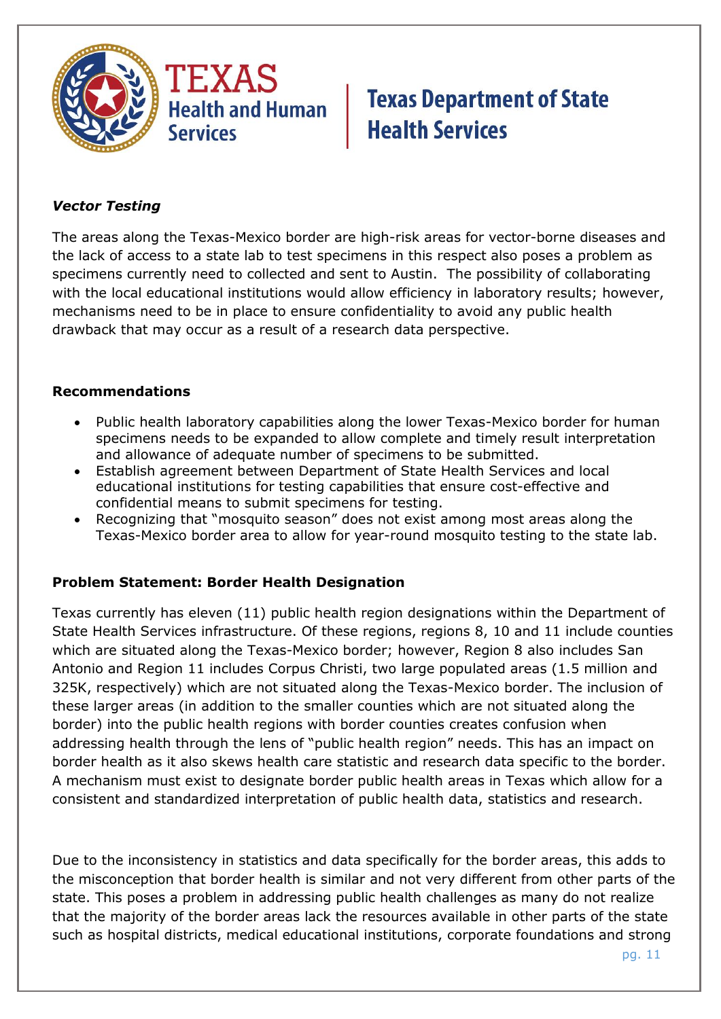

### *Vector Testing*

The areas along the Texas-Mexico border are high-risk areas for vector-borne diseases and the lack of access to a state lab to test specimens in this respect also poses a problem as specimens currently need to collected and sent to Austin. The possibility of collaborating with the local educational institutions would allow efficiency in laboratory results; however, mechanisms need to be in place to ensure confidentiality to avoid any public health drawback that may occur as a result of a research data perspective.

#### **Recommendations**

- Public health laboratory capabilities along the lower Texas-Mexico border for human specimens needs to be expanded to allow complete and timely result interpretation and allowance of adequate number of specimens to be submitted.
- Establish agreement between Department of State Health Services and local educational institutions for testing capabilities that ensure cost-effective and confidential means to submit specimens for testing.
- Recognizing that "mosquito season" does not exist among most areas along the Texas-Mexico border area to allow for year-round mosquito testing to the state lab.

### **Problem Statement: Border Health Designation**

Texas currently has eleven (11) public health region designations within the Department of State Health Services infrastructure. Of these regions, regions 8, 10 and 11 include counties which are situated along the Texas-Mexico border; however, Region 8 also includes San Antonio and Region 11 includes Corpus Christi, two large populated areas (1.5 million and 325K, respectively) which are not situated along the Texas-Mexico border. The inclusion of these larger areas (in addition to the smaller counties which are not situated along the border) into the public health regions with border counties creates confusion when addressing health through the lens of "public health region" needs. This has an impact on border health as it also skews health care statistic and research data specific to the border. A mechanism must exist to designate border public health areas in Texas which allow for a consistent and standardized interpretation of public health data, statistics and research.

Due to the inconsistency in statistics and data specifically for the border areas, this adds to the misconception that border health is similar and not very different from other parts of the state. This poses a problem in addressing public health challenges as many do not realize that the majority of the border areas lack the resources available in other parts of the state such as hospital districts, medical educational institutions, corporate foundations and strong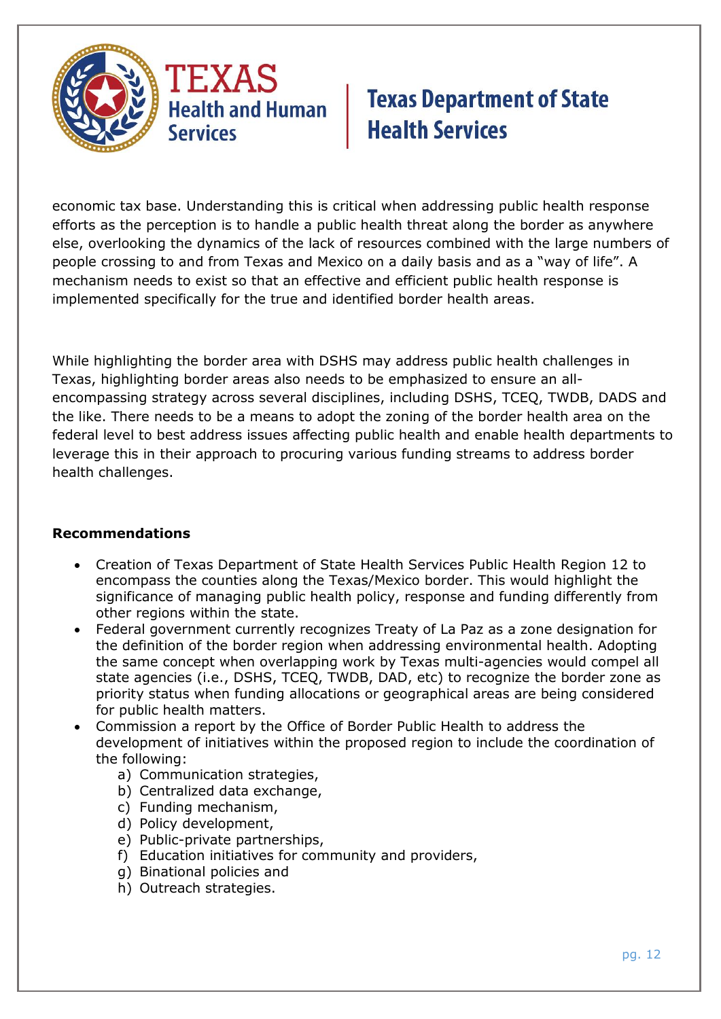

economic tax base. Understanding this is critical when addressing public health response efforts as the perception is to handle a public health threat along the border as anywhere else, overlooking the dynamics of the lack of resources combined with the large numbers of people crossing to and from Texas and Mexico on a daily basis and as a "way of life". A mechanism needs to exist so that an effective and efficient public health response is implemented specifically for the true and identified border health areas.

While highlighting the border area with DSHS may address public health challenges in Texas, highlighting border areas also needs to be emphasized to ensure an allencompassing strategy across several disciplines, including DSHS, TCEQ, TWDB, DADS and the like. There needs to be a means to adopt the zoning of the border health area on the federal level to best address issues affecting public health and enable health departments to leverage this in their approach to procuring various funding streams to address border health challenges.

### **Recommendations**

- Creation of Texas Department of State Health Services Public Health Region 12 to encompass the counties along the Texas/Mexico border. This would highlight the significance of managing public health policy, response and funding differently from other regions within the state.
- Federal government currently recognizes Treaty of La Paz as a zone designation for the definition of the border region when addressing environmental health. Adopting the same concept when overlapping work by Texas multi-agencies would compel all state agencies (i.e., DSHS, TCEQ, TWDB, DAD, etc) to recognize the border zone as priority status when funding allocations or geographical areas are being considered for public health matters.
- Commission a report by the Office of Border Public Health to address the development of initiatives within the proposed region to include the coordination of the following:
	- a) Communication strategies,
	- b) Centralized data exchange,
	- c) Funding mechanism,
	- d) Policy development,
	- e) Public-private partnerships,
	- f) Education initiatives for community and providers,
	- g) Binational policies and
	- h) Outreach strategies.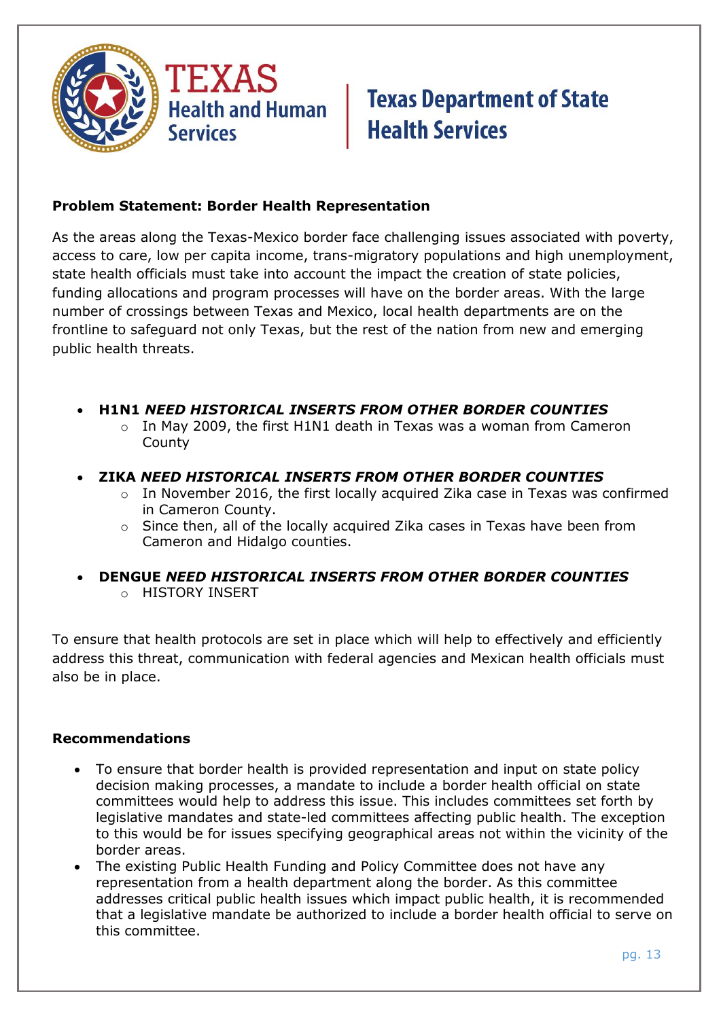

### **Problem Statement: Border Health Representation**

As the areas along the Texas-Mexico border face challenging issues associated with poverty, access to care, low per capita income, trans-migratory populations and high unemployment, state health officials must take into account the impact the creation of state policies, funding allocations and program processes will have on the border areas. With the large number of crossings between Texas and Mexico, local health departments are on the frontline to safeguard not only Texas, but the rest of the nation from new and emerging public health threats.

- **H1N1** *NEED HISTORICAL INSERTS FROM OTHER BORDER COUNTIES*
	- $\circ$  In May 2009, the first H1N1 death in Texas was a woman from Cameron County
- **ZIKA** *NEED HISTORICAL INSERTS FROM OTHER BORDER COUNTIES*
	- o In November 2016, the first locally acquired Zika case in Texas was confirmed in Cameron County.
	- o Since then, all of the locally acquired Zika cases in Texas have been from Cameron and Hidalgo counties.
- **DENGUE** *NEED HISTORICAL INSERTS FROM OTHER BORDER COUNTIES* o HISTORY INSERT

To ensure that health protocols are set in place which will help to effectively and efficiently address this threat, communication with federal agencies and Mexican health officials must also be in place.

#### **Recommendations**

- To ensure that border health is provided representation and input on state policy decision making processes, a mandate to include a border health official on state committees would help to address this issue. This includes committees set forth by legislative mandates and state-led committees affecting public health. The exception to this would be for issues specifying geographical areas not within the vicinity of the border areas.
- The existing Public Health Funding and Policy Committee does not have any representation from a health department along the border. As this committee addresses critical public health issues which impact public health, it is recommended that a legislative mandate be authorized to include a border health official to serve on this committee.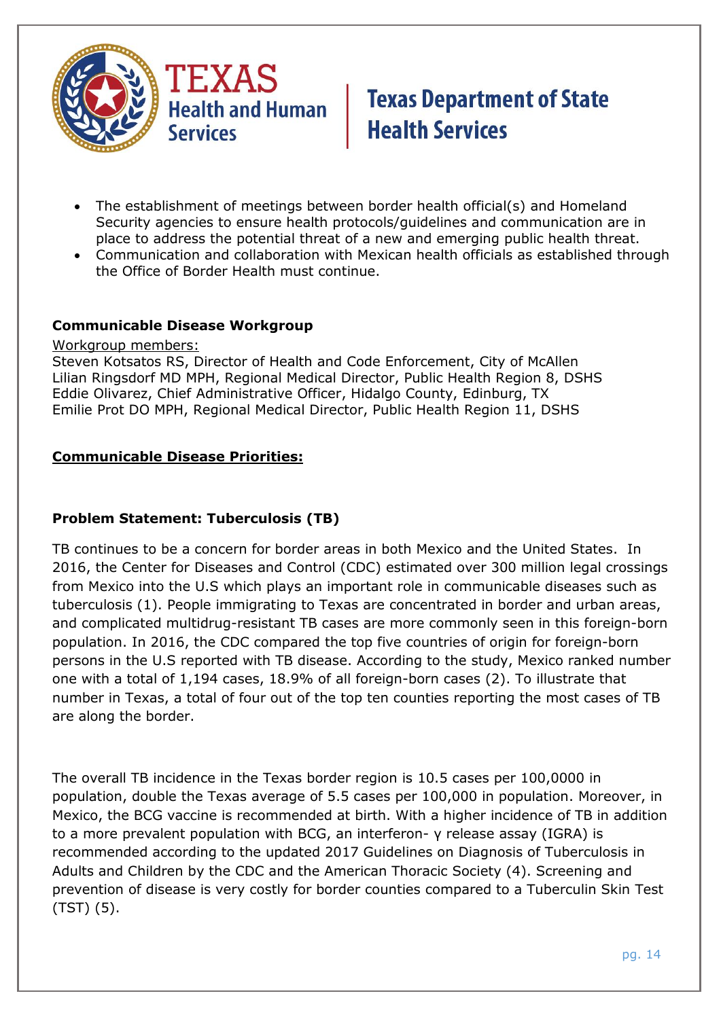

- The establishment of meetings between border health official(s) and Homeland Security agencies to ensure health protocols/guidelines and communication are in place to address the potential threat of a new and emerging public health threat.
- Communication and collaboration with Mexican health officials as established through the Office of Border Health must continue.

#### **Communicable Disease Workgroup**

Workgroup members:

Steven Kotsatos RS, Director of Health and Code Enforcement, City of McAllen Lilian Ringsdorf MD MPH, Regional Medical Director, Public Health Region 8, DSHS Eddie Olivarez, Chief Administrative Officer, Hidalgo County, Edinburg, TX Emilie Prot DO MPH, Regional Medical Director, Public Health Region 11, DSHS

#### **Communicable Disease Priorities:**

#### **Problem Statement: Tuberculosis (TB)**

TB continues to be a concern for border areas in both Mexico and the United States. In 2016, the Center for Diseases and Control (CDC) estimated over 300 million legal crossings from Mexico into the U.S which plays an important role in communicable diseases such as tuberculosis (1). People immigrating to Texas are concentrated in border and urban areas, and complicated multidrug-resistant TB cases are more commonly seen in this foreign-born population. In 2016, the CDC compared the top five countries of origin for foreign-born persons in the U.S reported with TB disease. According to the study, Mexico ranked number one with a total of 1,194 cases, 18.9% of all foreign-born cases (2). To illustrate that number in Texas, a total of four out of the top ten counties reporting the most cases of TB are along the border.

The overall TB incidence in the Texas border region is 10.5 cases per 100,0000 in population, double the Texas average of 5.5 cases per 100,000 in population. Moreover, in Mexico, the BCG vaccine is recommended at birth. With a higher incidence of TB in addition to a more prevalent population with BCG, an interferon- γ release assay (IGRA) is recommended according to the updated 2017 Guidelines on Diagnosis of Tuberculosis in Adults and Children by the CDC and the American Thoracic Society (4). Screening and prevention of disease is very costly for border counties compared to a Tuberculin Skin Test (TST) (5).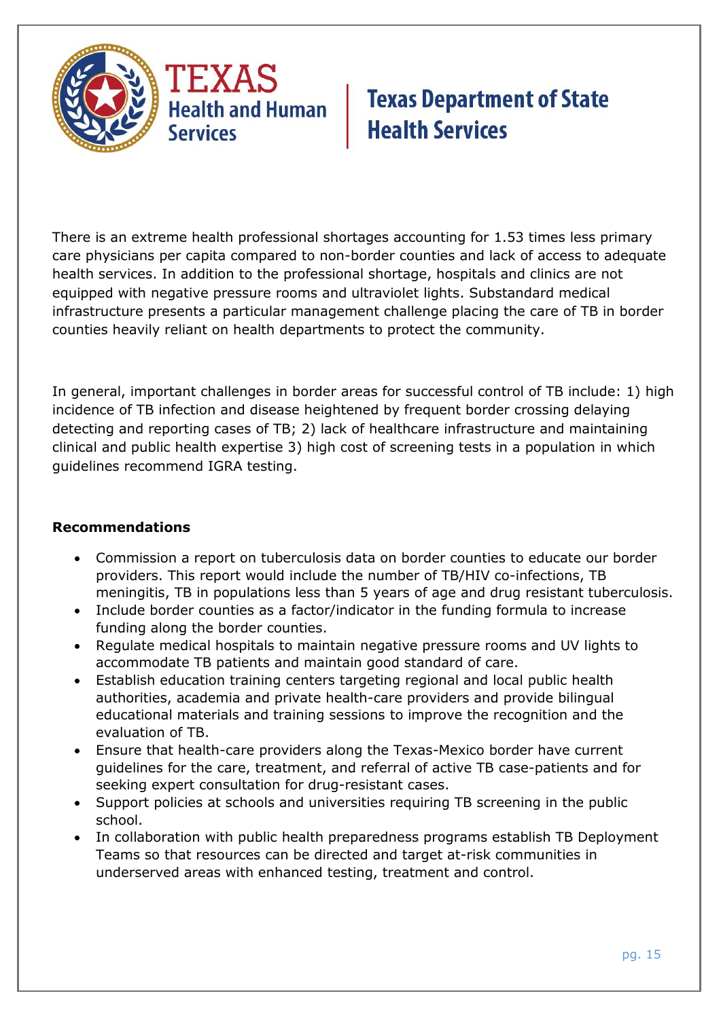

There is an extreme health professional shortages accounting for 1.53 times less primary care physicians per capita compared to non-border counties and lack of access to adequate health services. In addition to the professional shortage, hospitals and clinics are not equipped with negative pressure rooms and ultraviolet lights. Substandard medical infrastructure presents a particular management challenge placing the care of TB in border counties heavily reliant on health departments to protect the community.

In general, important challenges in border areas for successful control of TB include: 1) high incidence of TB infection and disease heightened by frequent border crossing delaying detecting and reporting cases of TB; 2) lack of healthcare infrastructure and maintaining clinical and public health expertise 3) high cost of screening tests in a population in which guidelines recommend IGRA testing.

### **Recommendations**

- Commission a report on tuberculosis data on border counties to educate our border providers. This report would include the number of TB/HIV co-infections, TB meningitis, TB in populations less than 5 years of age and drug resistant tuberculosis.
- Include border counties as a factor/indicator in the funding formula to increase funding along the border counties.
- Regulate medical hospitals to maintain negative pressure rooms and UV lights to accommodate TB patients and maintain good standard of care.
- Establish education training centers targeting regional and local public health authorities, academia and private health-care providers and provide bilingual educational materials and training sessions to improve the recognition and the evaluation of TB.
- Ensure that health-care providers along the Texas-Mexico border have current guidelines for the care, treatment, and referral of active TB case-patients and for seeking expert consultation for drug-resistant cases.
- Support policies at schools and universities requiring TB screening in the public school.
- In collaboration with public health preparedness programs establish TB Deployment Teams so that resources can be directed and target at-risk communities in underserved areas with enhanced testing, treatment and control.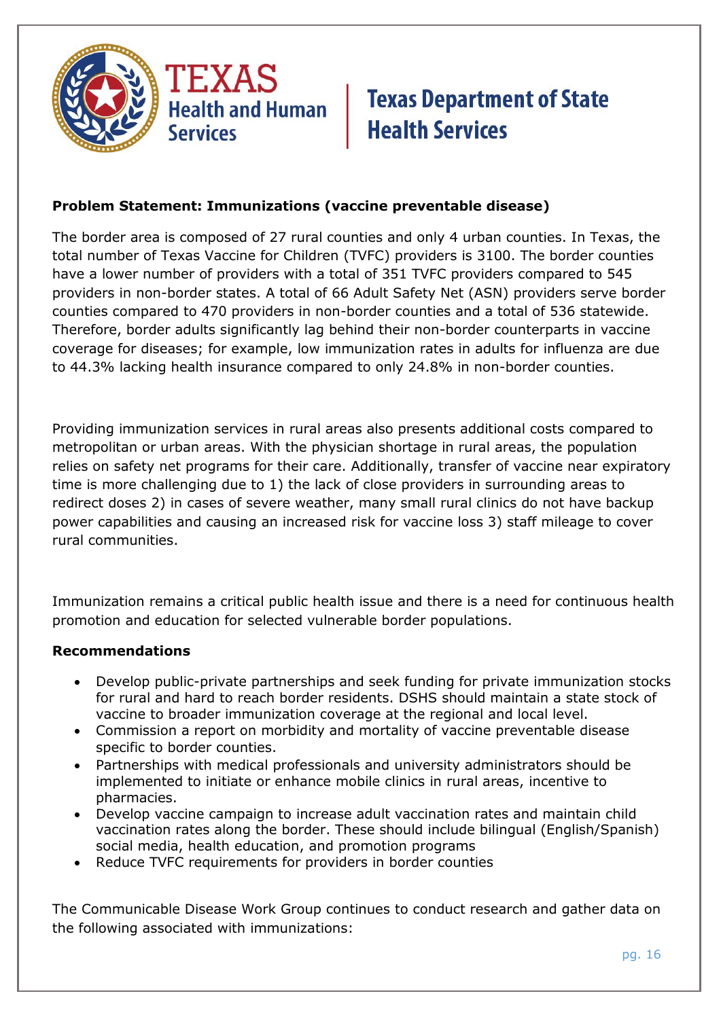

### **Problem Statement: Immunizations (vaccine preventable disease)**

The border area is composed of 27 rural counties and only 4 urban counties. In Texas, the total number of Texas Vaccine for Children (TVFC) providers is 3100. The border counties have a lower number of providers with a total of 351 TVFC providers compared to 545 providers in non-border states. A total of 66 Adult Safety Net (ASN) providers serve border counties compared to 470 providers in non-border counties and a total of 536 statewide. Therefore, border adults significantly lag behind their non-border counterparts in vaccine coverage for diseases; for example, low immunization rates in adults for influenza are due to 44.3% lacking health insurance compared to only 24.8% in non-border counties.

Providing immunization services in rural areas also presents additional costs compared to metropolitan or urban areas. With the physician shortage in rural areas, the population relies on safety net programs for their care. Additionally, transfer of vaccine near expiratory time is more challenging due to 1) the lack of close providers in surrounding areas to redirect doses 2) in cases of severe weather, many small rural clinics do not have backup power capabilities and causing an increased risk for vaccine loss 3) staff mileage to cover rural communities.

Immunization remains a critical public health issue and there is a need for continuous health promotion and education for selected vulnerable border populations.

#### **Recommendations**

- Develop public-private partnerships and seek funding for private immunization stocks for rural and hard to reach border residents. DSHS should maintain a state stock of vaccine to broader immunization coverage at the regional and local level.
- Commission a report on morbidity and mortality of vaccine preventable disease specific to border counties.
- Partnerships with medical professionals and university administrators should be implemented to initiate or enhance mobile clinics in rural areas, incentive to pharmacies.
- Develop vaccine campaign to increase adult vaccination rates and maintain child vaccination rates along the border. These should include bilingual (English/Spanish) social media, health education, and promotion programs
- Reduce TVFC requirements for providers in border counties

The Communicable Disease Work Group continues to conduct research and gather data on the following associated with immunizations: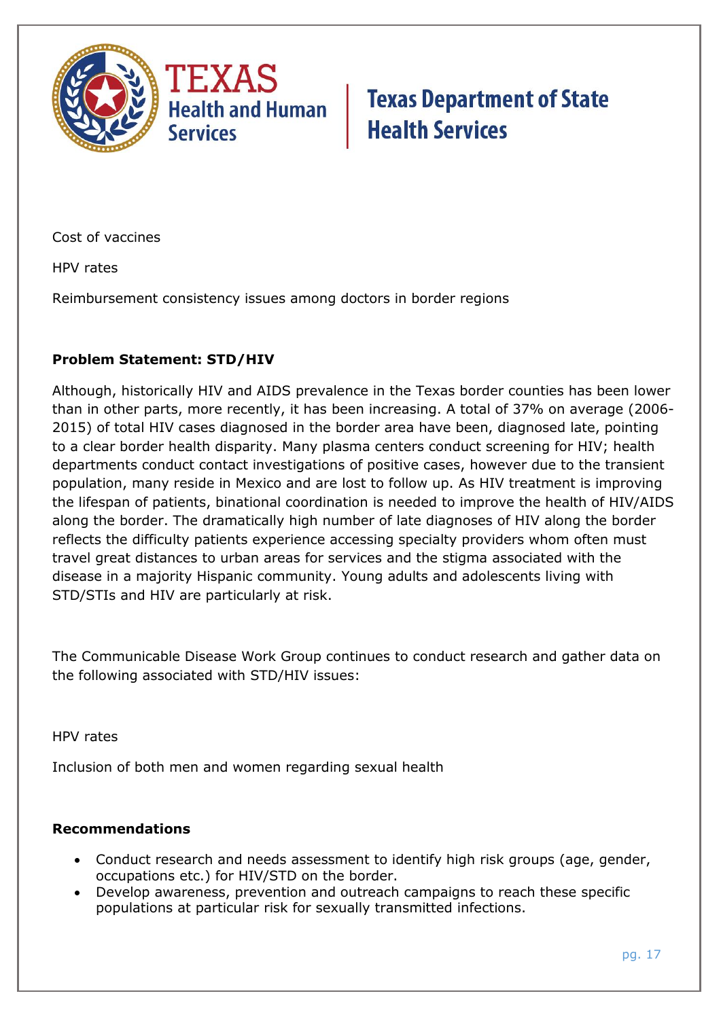

Cost of vaccines

HPV rates

Reimbursement consistency issues among doctors in border regions

### **Problem Statement: STD/HIV**

Although, historically HIV and AIDS prevalence in the Texas border counties has been lower than in other parts, more recently, it has been increasing. A total of 37% on average (2006- 2015) of total HIV cases diagnosed in the border area have been, diagnosed late, pointing to a clear border health disparity. Many plasma centers conduct screening for HIV; health departments conduct contact investigations of positive cases, however due to the transient population, many reside in Mexico and are lost to follow up. As HIV treatment is improving the lifespan of patients, binational coordination is needed to improve the health of HIV/AIDS along the border. The dramatically high number of late diagnoses of HIV along the border reflects the difficulty patients experience accessing specialty providers whom often must travel great distances to urban areas for services and the stigma associated with the disease in a majority Hispanic community. Young adults and adolescents living with STD/STIs and HIV are particularly at risk.

The Communicable Disease Work Group continues to conduct research and gather data on the following associated with STD/HIV issues:

HPV rates

Inclusion of both men and women regarding sexual health

### **Recommendations**

- Conduct research and needs assessment to identify high risk groups (age, gender, occupations etc.) for HIV/STD on the border.
- Develop awareness, prevention and outreach campaigns to reach these specific populations at particular risk for sexually transmitted infections.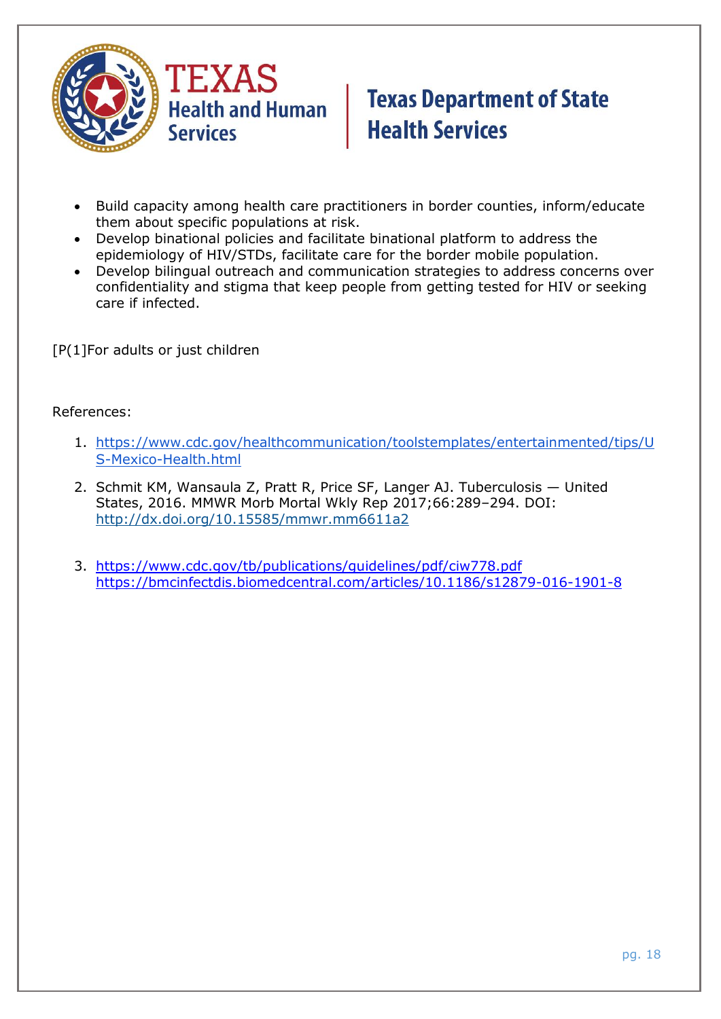

- Build capacity among health care practitioners in border counties, inform/educate them about specific populations at risk.
- Develop binational policies and facilitate binational platform to address the epidemiology of HIV/STDs, facilitate care for the border mobile population.
- Develop bilingual outreach and communication strategies to address concerns over confidentiality and stigma that keep people from getting tested for HIV or seeking care if infected.

[P(1]For adults or just children

#### References:

- 1. [https://www.cdc.gov/healthcommunication/toolstemplates/entertainmented/tips/U](https://www.cdc.gov/healthcommunication/toolstemplates/entertainmented/tips/US-Mexico-Health.html) [S-Mexico-Health.html](https://www.cdc.gov/healthcommunication/toolstemplates/entertainmented/tips/US-Mexico-Health.html)
- 2. Schmit KM, Wansaula Z, Pratt R, Price SF, Langer AJ. Tuberculosis United States, 2016. MMWR Morb Mortal Wkly Rep 2017;66:289–294. DOI: <http://dx.doi.org/10.15585/mmwr.mm6611a2>
- 3. <https://www.cdc.gov/tb/publications/guidelines/pdf/ciw778.pdf> <https://bmcinfectdis.biomedcentral.com/articles/10.1186/s12879-016-1901-8>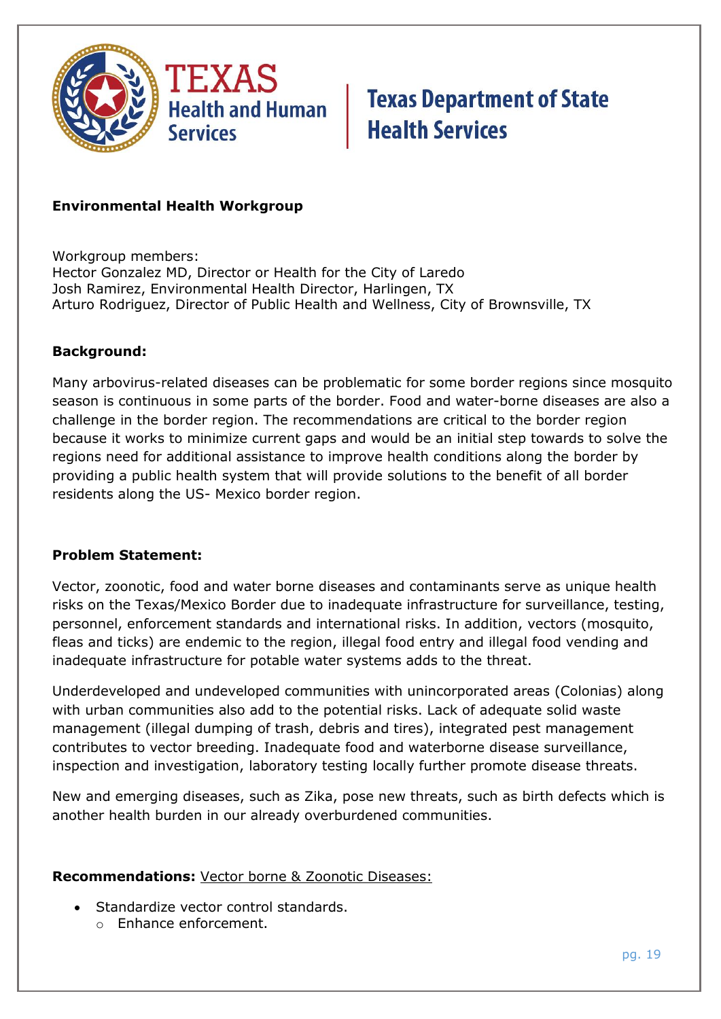

#### **Environmental Health Workgroup**

Workgroup members: Hector Gonzalez MD, Director or Health for the City of Laredo Josh Ramirez, Environmental Health Director, Harlingen, TX Arturo Rodriguez, Director of Public Health and Wellness, City of Brownsville, TX

#### **Background:**

Many arbovirus-related diseases can be problematic for some border regions since mosquito season is continuous in some parts of the border. Food and water-borne diseases are also a challenge in the border region. The recommendations are critical to the border region because it works to minimize current gaps and would be an initial step towards to solve the regions need for additional assistance to improve health conditions along the border by providing a public health system that will provide solutions to the benefit of all border residents along the US- Mexico border region.

#### **Problem Statement:**

Vector, zoonotic, food and water borne diseases and contaminants serve as unique health risks on the Texas/Mexico Border due to inadequate infrastructure for surveillance, testing, personnel, enforcement standards and international risks. In addition, vectors (mosquito, fleas and ticks) are endemic to the region, illegal food entry and illegal food vending and inadequate infrastructure for potable water systems adds to the threat.

Underdeveloped and undeveloped communities with unincorporated areas (Colonias) along with urban communities also add to the potential risks. Lack of adequate solid waste management (illegal dumping of trash, debris and tires), integrated pest management contributes to vector breeding. Inadequate food and waterborne disease surveillance, inspection and investigation, laboratory testing locally further promote disease threats.

New and emerging diseases, such as Zika, pose new threats, such as birth defects which is another health burden in our already overburdened communities.

#### **Recommendations:** Vector borne & Zoonotic Diseases:

- Standardize vector control standards.
	- o Enhance enforcement.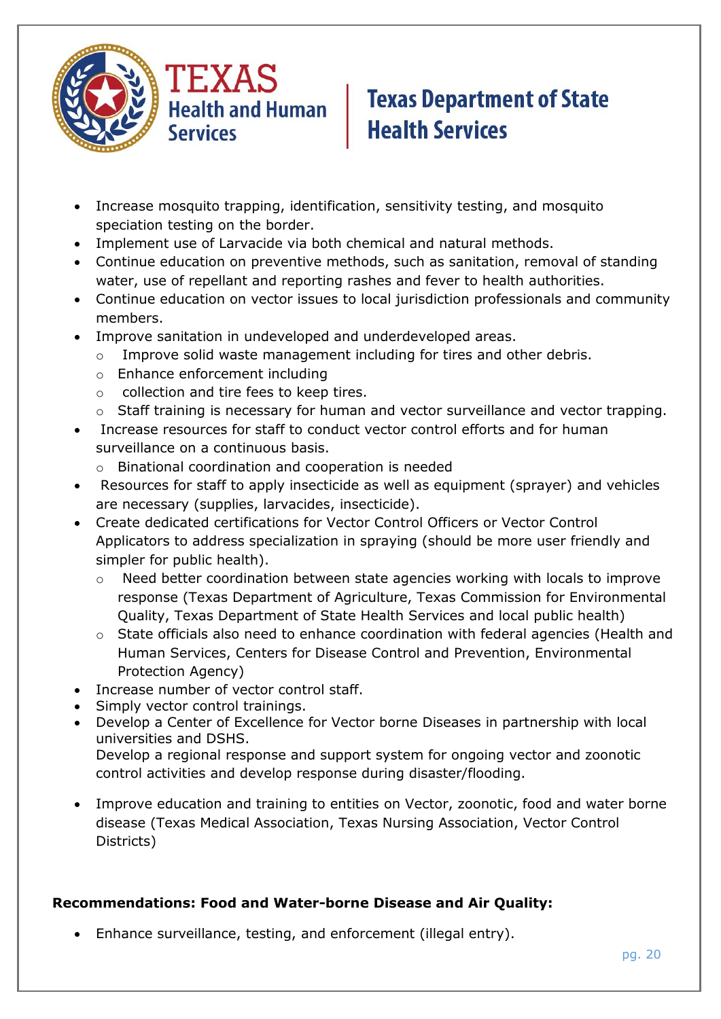

- Increase mosquito trapping, identification, sensitivity testing, and mosquito speciation testing on the border.
- Implement use of Larvacide via both chemical and natural methods.
- Continue education on preventive methods, such as sanitation, removal of standing water, use of repellant and reporting rashes and fever to health authorities.
- Continue education on vector issues to local jurisdiction professionals and community members.
- Improve sanitation in undeveloped and underdeveloped areas.
	- o Improve solid waste management including for tires and other debris.
	- o Enhance enforcement including
	- o collection and tire fees to keep tires.
	- o Staff training is necessary for human and vector surveillance and vector trapping.
- Increase resources for staff to conduct vector control efforts and for human surveillance on a continuous basis.
	- o Binational coordination and cooperation is needed
- Resources for staff to apply insecticide as well as equipment (sprayer) and vehicles are necessary (supplies, larvacides, insecticide).
- Create dedicated certifications for Vector Control Officers or Vector Control Applicators to address specialization in spraying (should be more user friendly and simpler for public health).
	- $\circ$  Need better coordination between state agencies working with locals to improve response (Texas Department of Agriculture, Texas Commission for Environmental Quality, Texas Department of State Health Services and local public health)
	- o State officials also need to enhance coordination with federal agencies (Health and Human Services, Centers for Disease Control and Prevention, Environmental Protection Agency)
- Increase number of vector control staff.
- Simply vector control trainings.
- Develop a Center of Excellence for Vector borne Diseases in partnership with local universities and DSHS. Develop a regional response and support system for ongoing vector and zoonotic control activities and develop response during disaster/flooding.
- Improve education and training to entities on Vector, zoonotic, food and water borne disease (Texas Medical Association, Texas Nursing Association, Vector Control Districts)

### **Recommendations: Food and Water-borne Disease and Air Quality:**

Enhance surveillance, testing, and enforcement (illegal entry).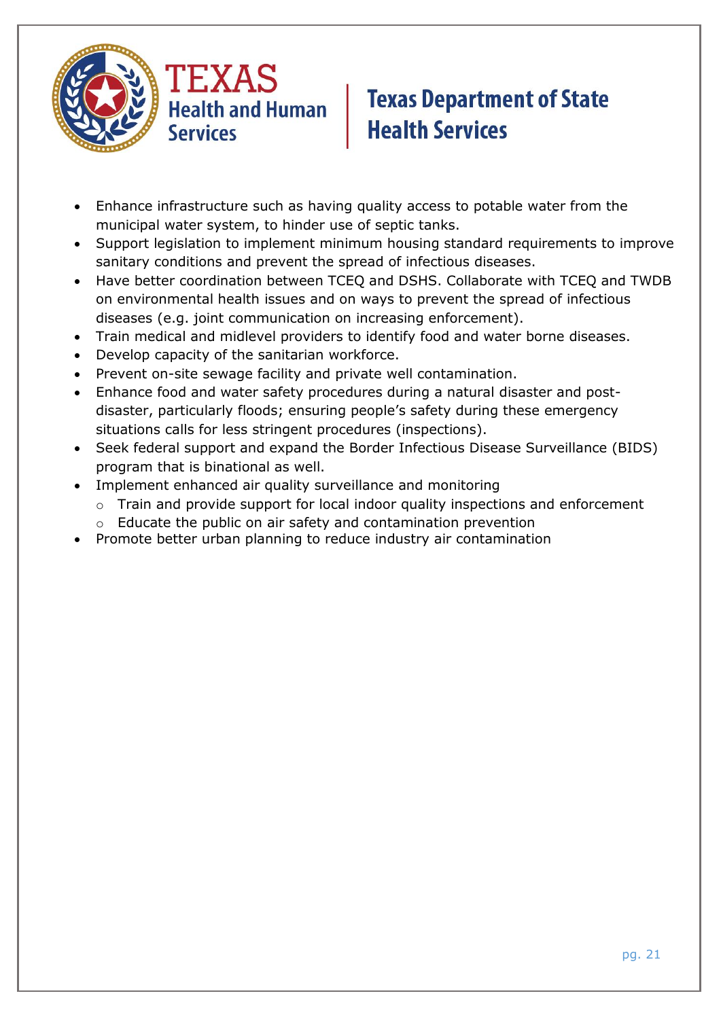



- Enhance infrastructure such as having quality access to potable water from the municipal water system, to hinder use of septic tanks.
- Support legislation to implement minimum housing standard requirements to improve sanitary conditions and prevent the spread of infectious diseases.
- Have better coordination between TCEQ and DSHS. Collaborate with TCEQ and TWDB on environmental health issues and on ways to prevent the spread of infectious diseases (e.g. joint communication on increasing enforcement).
- Train medical and midlevel providers to identify food and water borne diseases.
- Develop capacity of the sanitarian workforce.
- Prevent on-site sewage facility and private well contamination.
- Enhance food and water safety procedures during a natural disaster and postdisaster, particularly floods; ensuring people's safety during these emergency situations calls for less stringent procedures (inspections).
- Seek federal support and expand the Border Infectious Disease Surveillance (BIDS) program that is binational as well.
- Implement enhanced air quality surveillance and monitoring
	- o Train and provide support for local indoor quality inspections and enforcement
	- o Educate the public on air safety and contamination prevention
- Promote better urban planning to reduce industry air contamination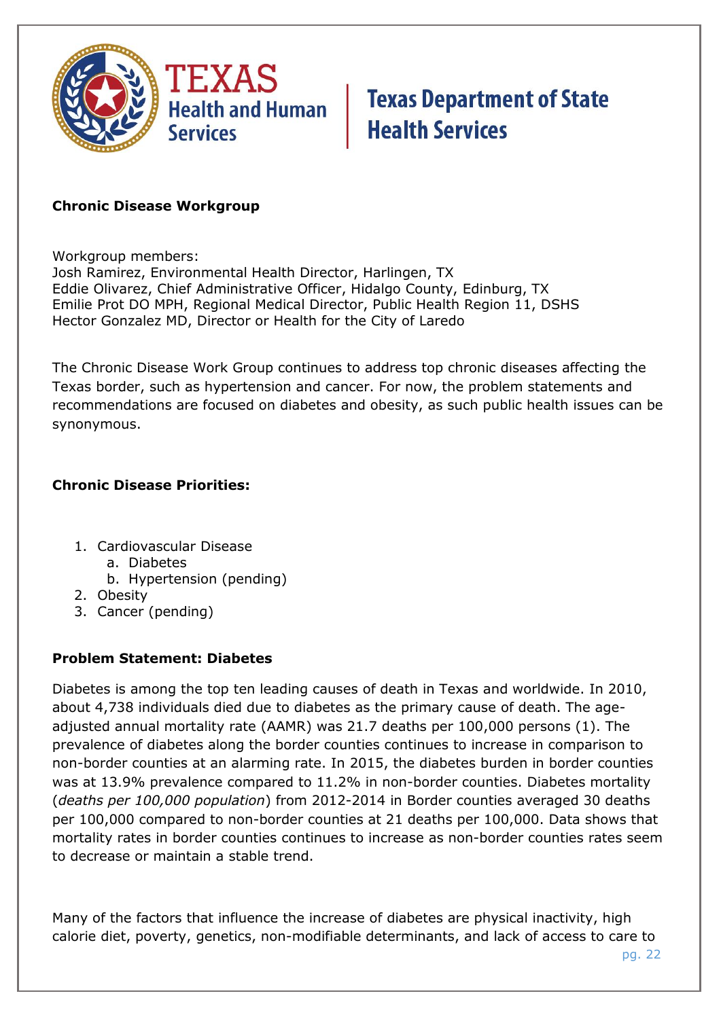

#### **Chronic Disease Workgroup**

Workgroup members:

Josh Ramirez, Environmental Health Director, Harlingen, TX Eddie Olivarez, Chief Administrative Officer, Hidalgo County, Edinburg, TX Emilie Prot DO MPH, Regional Medical Director, Public Health Region 11, DSHS Hector Gonzalez MD, Director or Health for the City of Laredo

The Chronic Disease Work Group continues to address top chronic diseases affecting the Texas border, such as hypertension and cancer. For now, the problem statements and recommendations are focused on diabetes and obesity, as such public health issues can be synonymous.

### **Chronic Disease Priorities:**

- 1. Cardiovascular Disease
	- a. Diabetes
	- b. Hypertension (pending)
- 2. Obesity
- 3. Cancer (pending)

### **Problem Statement: Diabetes**

Diabetes is among the top ten leading causes of death in Texas and worldwide. In 2010, about 4,738 individuals died due to diabetes as the primary cause of death. The ageadjusted annual mortality rate (AAMR) was 21.7 deaths per 100,000 persons (1). The prevalence of diabetes along the border counties continues to increase in comparison to non-border counties at an alarming rate. In 2015, the diabetes burden in border counties was at 13.9% prevalence compared to 11.2% in non-border counties. Diabetes mortality (*deaths per 100,000 population*) from 2012-2014 in Border counties averaged 30 deaths per 100,000 compared to non-border counties at 21 deaths per 100,000. Data shows that mortality rates in border counties continues to increase as non-border counties rates seem to decrease or maintain a stable trend.

Many of the factors that influence the increase of diabetes are physical inactivity, high calorie diet, poverty, genetics, non-modifiable determinants, and lack of access to care to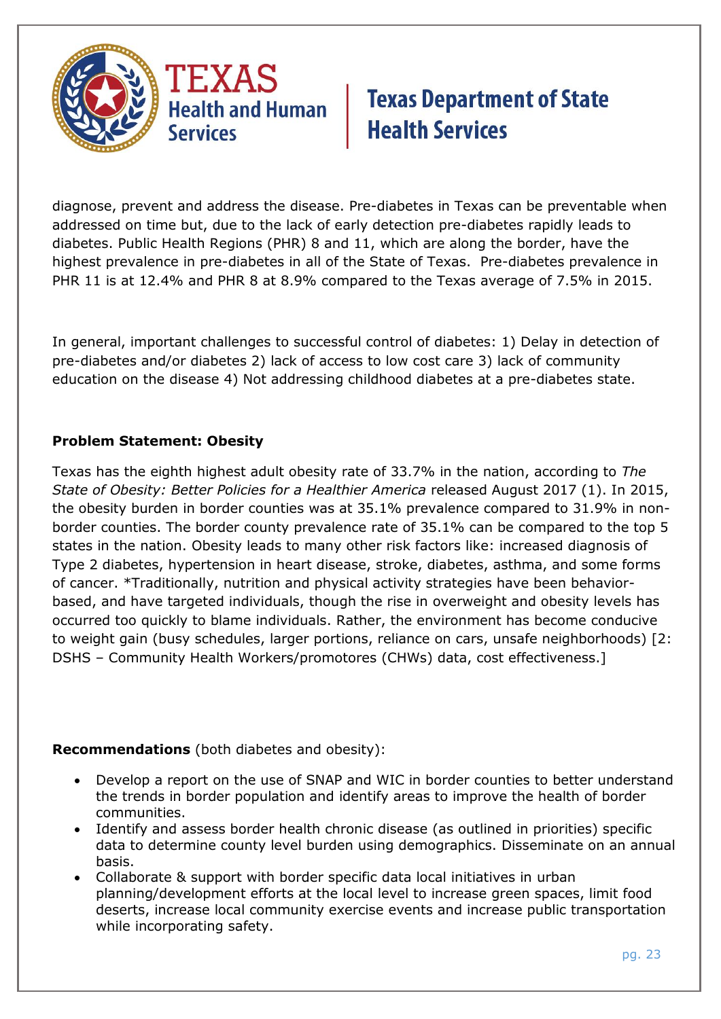

diagnose, prevent and address the disease. Pre-diabetes in Texas can be preventable when addressed on time but, due to the lack of early detection pre-diabetes rapidly leads to diabetes. Public Health Regions (PHR) 8 and 11, which are along the border, have the highest prevalence in pre-diabetes in all of the State of Texas. Pre-diabetes prevalence in PHR 11 is at 12.4% and PHR 8 at 8.9% compared to the Texas average of 7.5% in 2015.

In general, important challenges to successful control of diabetes: 1) Delay in detection of pre-diabetes and/or diabetes 2) lack of access to low cost care 3) lack of community education on the disease 4) Not addressing childhood diabetes at a pre-diabetes state.

### **Problem Statement: Obesity**

Texas has the eighth highest adult obesity rate of 33.7% in the nation, according to *The State of Obesity: Better Policies for a Healthier America* released August 2017 (1). In 2015, the obesity burden in border counties was at 35.1% prevalence compared to 31.9% in nonborder counties. The border county prevalence rate of 35.1% can be compared to the top 5 states in the nation. Obesity leads to many other risk factors like: increased diagnosis of Type 2 diabetes, hypertension in heart disease, stroke, diabetes, asthma, and some forms of cancer. \*Traditionally, nutrition and physical activity strategies have been behaviorbased, and have targeted individuals, though the rise in overweight and obesity levels has occurred too quickly to blame individuals. Rather, the environment has become conducive to weight gain (busy schedules, larger portions, reliance on cars, unsafe neighborhoods) [2: DSHS – Community Health Workers/promotores (CHWs) data, cost effectiveness.]

### **Recommendations** (both diabetes and obesity):

- Develop a report on the use of SNAP and WIC in border counties to better understand the trends in border population and identify areas to improve the health of border communities.
- Identify and assess border health chronic disease (as outlined in priorities) specific data to determine county level burden using demographics. Disseminate on an annual basis.
- Collaborate & support with border specific data local initiatives in urban planning/development efforts at the local level to increase green spaces, limit food deserts, increase local community exercise events and increase public transportation while incorporating safety.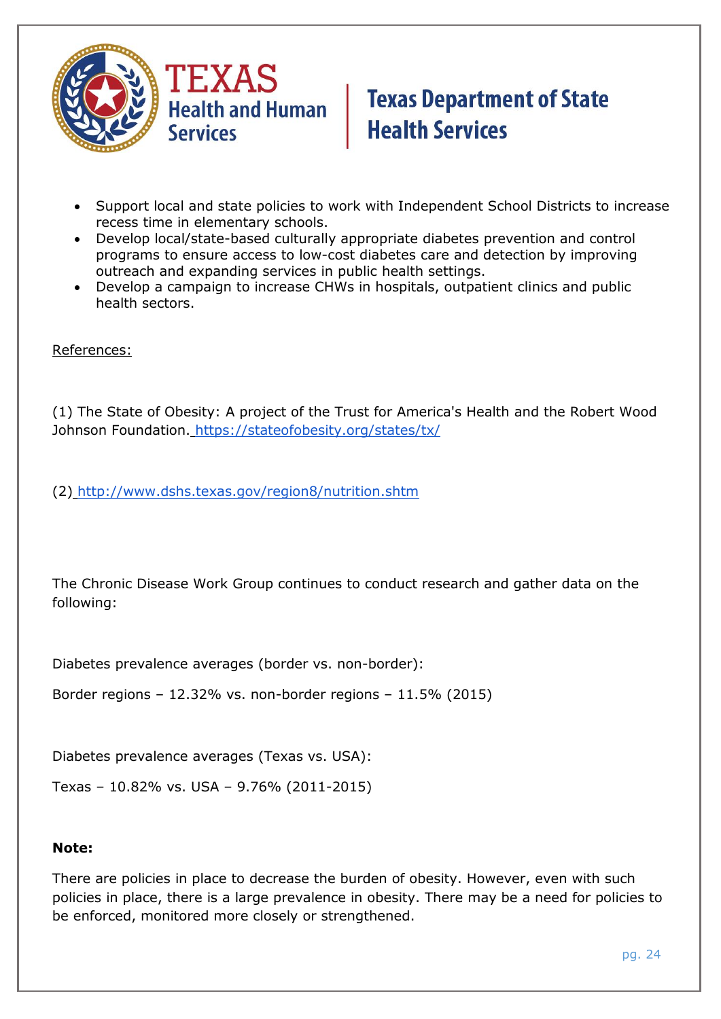

- Support local and state policies to work with Independent School Districts to increase recess time in elementary schools.
- Develop local/state-based culturally appropriate diabetes prevention and control programs to ensure access to low-cost diabetes care and detection by improving outreach and expanding services in public health settings.
- Develop a campaign to increase CHWs in hospitals, outpatient clinics and public health sectors.

References:

(1) The State of Obesity: A project of the Trust for America's Health and the Robert Wood Johnson Foundation. <https://stateofobesity.org/states/tx/>

(2) <http://www.dshs.texas.gov/region8/nutrition.shtm>

The Chronic Disease Work Group continues to conduct research and gather data on the following:

Diabetes prevalence averages (border vs. non-border):

Border regions – 12.32% vs. non-border regions – 11.5% (2015)

Diabetes prevalence averages (Texas vs. USA):

Texas – 10.82% vs. USA – 9.76% (2011-2015)

#### **Note:**

There are policies in place to decrease the burden of obesity. However, even with such policies in place, there is a large prevalence in obesity. There may be a need for policies to be enforced, monitored more closely or strengthened.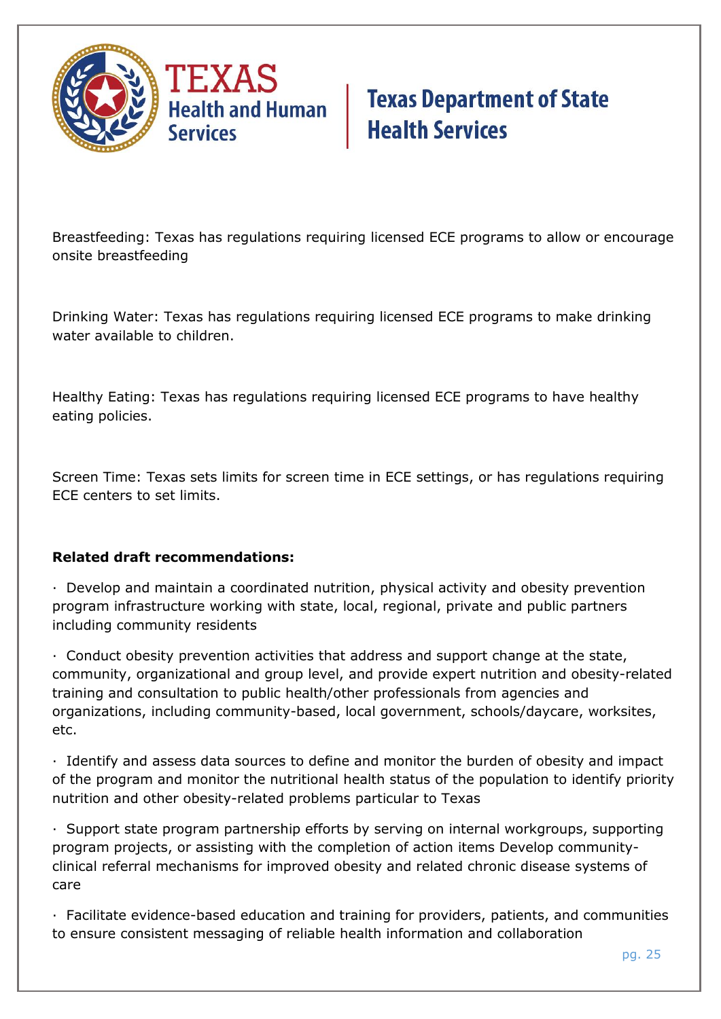

Breastfeeding: Texas has regulations requiring licensed ECE programs to allow or encourage onsite breastfeeding

Drinking Water: Texas has regulations requiring licensed ECE programs to make drinking water available to children.

Healthy Eating: Texas has regulations requiring licensed ECE programs to have healthy eating policies.

Screen Time: Texas sets limits for screen time in ECE settings, or has regulations requiring ECE centers to set limits.

### **Related draft recommendations:**

· Develop and maintain a coordinated nutrition, physical activity and obesity prevention program infrastructure working with state, local, regional, private and public partners including community residents

· Conduct obesity prevention activities that address and support change at the state, community, organizational and group level, and provide expert nutrition and obesity-related training and consultation to public health/other professionals from agencies and organizations, including community-based, local government, schools/daycare, worksites, etc.

· Identify and assess data sources to define and monitor the burden of obesity and impact of the program and monitor the nutritional health status of the population to identify priority nutrition and other obesity-related problems particular to Texas

· Support state program partnership efforts by serving on internal workgroups, supporting program projects, or assisting with the completion of action items Develop communityclinical referral mechanisms for improved obesity and related chronic disease systems of care

· Facilitate evidence-based education and training for providers, patients, and communities to ensure consistent messaging of reliable health information and collaboration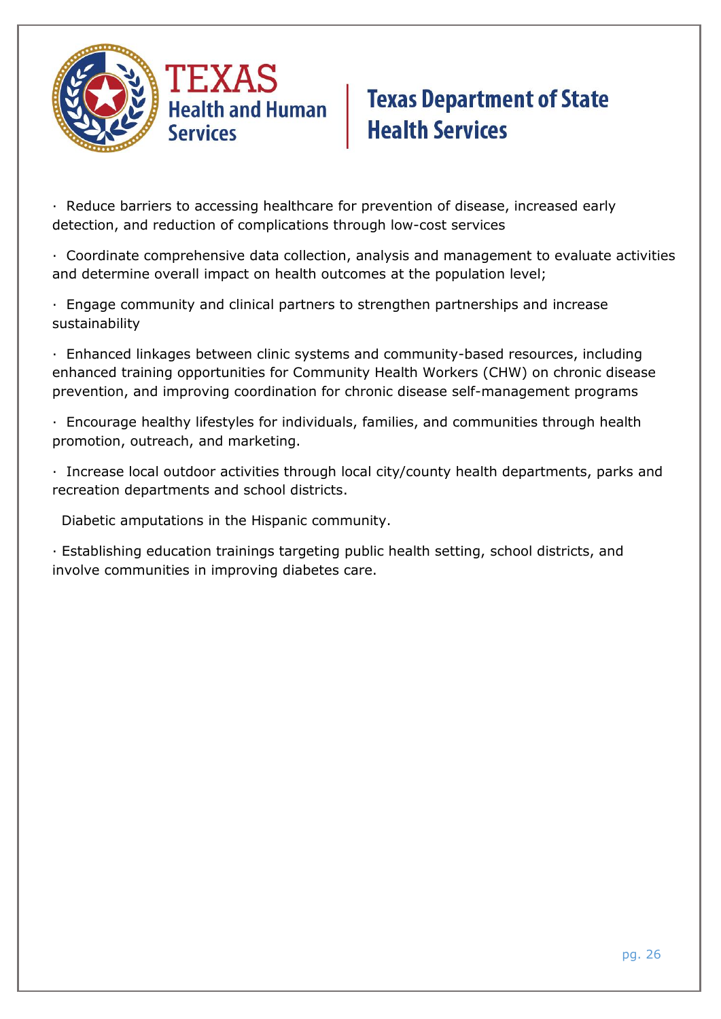

· Reduce barriers to accessing healthcare for prevention of disease, increased early detection, and reduction of complications through low-cost services

· Coordinate comprehensive data collection, analysis and management to evaluate activities and determine overall impact on health outcomes at the population level;

· Engage community and clinical partners to strengthen partnerships and increase sustainability

· Enhanced linkages between clinic systems and community-based resources, including enhanced training opportunities for Community Health Workers (CHW) on chronic disease prevention, and improving coordination for chronic disease self-management programs

· Encourage healthy lifestyles for individuals, families, and communities through health promotion, outreach, and marketing.

· Increase local outdoor activities through local city/county health departments, parks and recreation departments and school districts.

Diabetic amputations in the Hispanic community.

· Establishing education trainings targeting public health setting, school districts, and involve communities in improving diabetes care.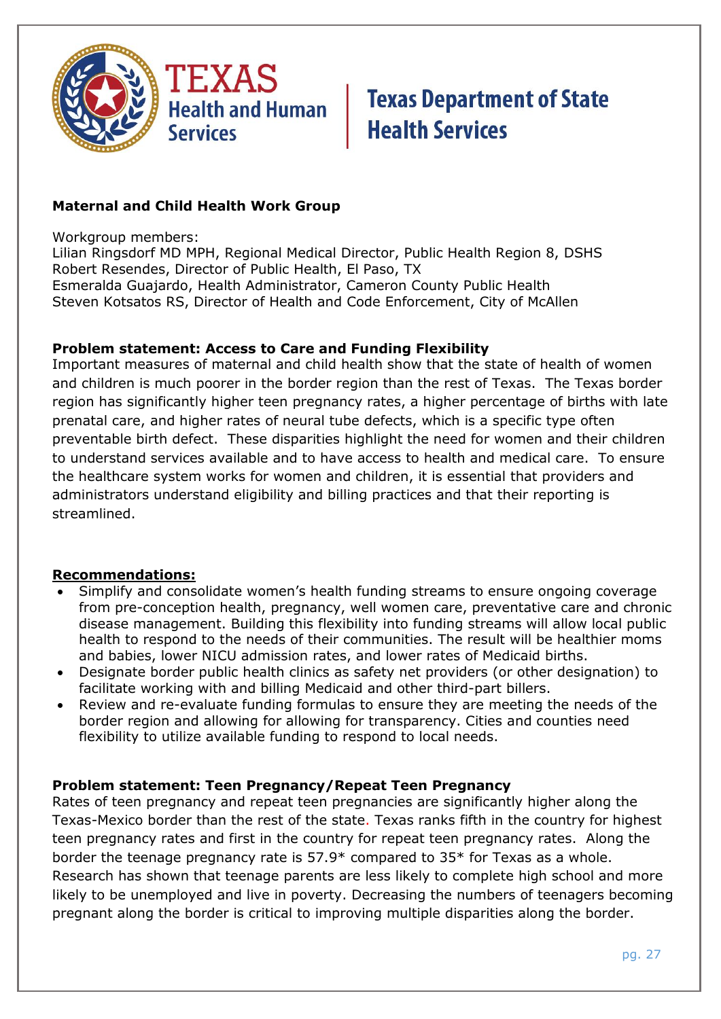

### **Maternal and Child Health Work Group**

Workgroup members:

Lilian Ringsdorf MD MPH, Regional Medical Director, Public Health Region 8, DSHS Robert Resendes, Director of Public Health, El Paso, TX Esmeralda Guajardo, Health Administrator, Cameron County Public Health Steven Kotsatos RS, Director of Health and Code Enforcement, City of McAllen

#### **Problem statement: Access to Care and Funding Flexibility**

Important measures of maternal and child health show that the state of health of women and children is much poorer in the border region than the rest of Texas. The Texas border region has significantly higher teen pregnancy rates, a higher percentage of births with late prenatal care, and higher rates of neural tube defects, which is a specific type often preventable birth defect. These disparities highlight the need for women and their children to understand services available and to have access to health and medical care. To ensure the healthcare system works for women and children, it is essential that providers and administrators understand eligibility and billing practices and that their reporting is streamlined.

#### **Recommendations:**

- Simplify and consolidate women's health funding streams to ensure ongoing coverage from pre-conception health, pregnancy, well women care, preventative care and chronic disease management. Building this flexibility into funding streams will allow local public health to respond to the needs of their communities. The result will be healthier moms and babies, lower NICU admission rates, and lower rates of Medicaid births.
- Designate border public health clinics as safety net providers (or other designation) to facilitate working with and billing Medicaid and other third-part billers.
- Review and re-evaluate funding formulas to ensure they are meeting the needs of the border region and allowing for allowing for transparency. Cities and counties need flexibility to utilize available funding to respond to local needs.

#### **Problem statement: Teen Pregnancy/Repeat Teen Pregnancy**

Rates of teen pregnancy and repeat teen pregnancies are significantly higher along the Texas-Mexico border than the rest of the state. Texas ranks fifth in the country for highest teen pregnancy rates and first in the country for repeat teen pregnancy rates. Along the border the teenage pregnancy rate is 57.9\* compared to 35\* for Texas as a whole. Research has shown that teenage parents are less likely to complete high school and more likely to be unemployed and live in poverty. Decreasing the numbers of teenagers becoming pregnant along the border is critical to improving multiple disparities along the border.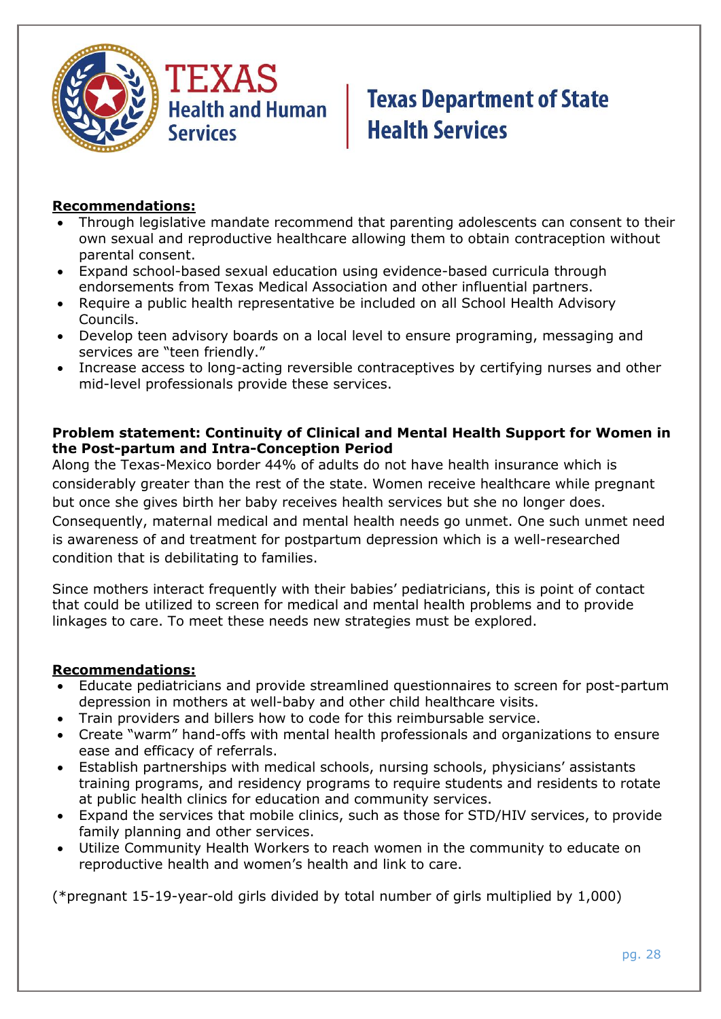

#### **Recommendations:**

- Through legislative mandate recommend that parenting adolescents can consent to their own sexual and reproductive healthcare allowing them to obtain contraception without parental consent.
- Expand school-based sexual education using evidence-based curricula through endorsements from Texas Medical Association and other influential partners.
- Require a public health representative be included on all School Health Advisory Councils.
- Develop teen advisory boards on a local level to ensure programing, messaging and services are "teen friendly."
- Increase access to long-acting reversible contraceptives by certifying nurses and other mid-level professionals provide these services.

#### **Problem statement: Continuity of Clinical and Mental Health Support for Women in the Post-partum and Intra-Conception Period**

Along the Texas-Mexico border 44% of adults do not have health insurance which is considerably greater than the rest of the state. Women receive healthcare while pregnant but once she gives birth her baby receives health services but she no longer does. Consequently, maternal medical and mental health needs go unmet. One such unmet need is awareness of and treatment for postpartum depression which is a well-researched condition that is debilitating to families.

Since mothers interact frequently with their babies' pediatricians, this is point of contact that could be utilized to screen for medical and mental health problems and to provide linkages to care. To meet these needs new strategies must be explored.

#### **Recommendations:**

- Educate pediatricians and provide streamlined questionnaires to screen for post-partum depression in mothers at well-baby and other child healthcare visits.
- Train providers and billers how to code for this reimbursable service.
- Create "warm" hand-offs with mental health professionals and organizations to ensure ease and efficacy of referrals.
- Establish partnerships with medical schools, nursing schools, physicians' assistants training programs, and residency programs to require students and residents to rotate at public health clinics for education and community services.
- Expand the services that mobile clinics, such as those for STD/HIV services, to provide family planning and other services.
- Utilize Community Health Workers to reach women in the community to educate on reproductive health and women's health and link to care.

(\*pregnant 15-19-year-old girls divided by total number of girls multiplied by 1,000)